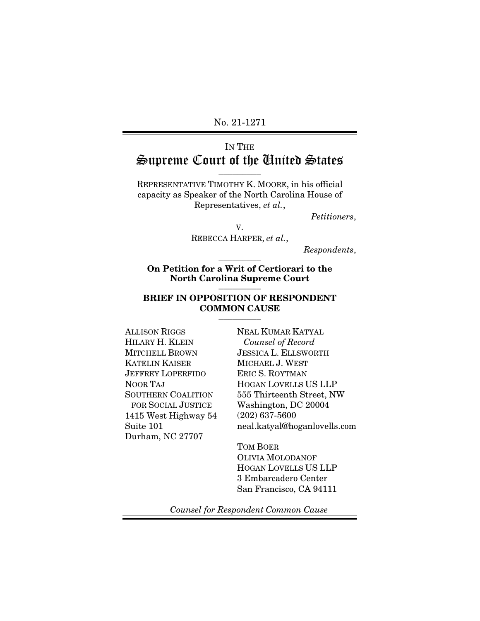No. 21-1271

# IN THE Supreme Court of the United States

 $\overline{\phantom{a}}$  . The set of  $\overline{\phantom{a}}$ 

REPRESENTATIVE TIMOTHY K. MOORE, in his official capacity as Speaker of the North Carolina House of Representatives, *et al.*,

*Petitioners*,

V.

REBECCA HARPER, *et al.*,

*Respondents*,

On Petition for a Writ of Certiorari to the North Carolina Supreme Court \_\_\_\_\_\_\_\_\_

 $\overline{\phantom{a}}$  . The set of  $\overline{\phantom{a}}$ 

#### BRIEF IN OPPOSITION OF RESPONDENT COMMON CAUSE  $\overline{\phantom{a}}$  . The set of  $\overline{\phantom{a}}$

ALLISON RIGGS HILARY H. KLEIN MITCHELL BROWN KATELIN KAISER JEFFREY LOPERFIDO NOOR TAJ SOUTHERN COALITION FOR SOCIAL JUSTICE 1415 West Highway 54 Suite 101 Durham, NC 27707

NEAL KUMAR KATYAL  *Counsel of Record* JESSICA L. ELLSWORTH MICHAEL J. WEST ERIC S. ROYTMAN HOGAN LOVELLS US LLP 555 Thirteenth Street, NW Washington, DC 20004 (202) 637-5600 neal.katyal@hoganlovells.com

TOM BOER OLIVIA MOLODANOF HOGAN LOVELLS US LLP 3 Embarcadero Center San Francisco, CA 94111

*Counsel for Respondent Common Cause*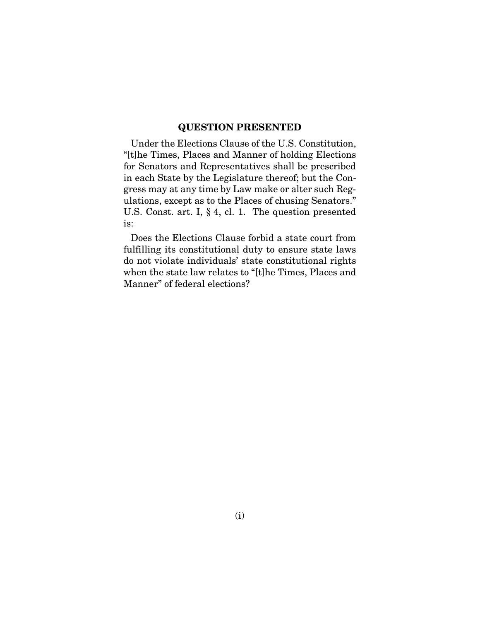#### QUESTION PRESENTED

Under the Elections Clause of the U.S. Constitution, "[t]he Times, Places and Manner of holding Elections for Senators and Representatives shall be prescribed in each State by the Legislature thereof; but the Congress may at any time by Law make or alter such Regulations, except as to the Places of chusing Senators." U.S. Const. art. I, § 4, cl. 1. The question presented is:

Does the Elections Clause forbid a state court from fulfilling its constitutional duty to ensure state laws do not violate individuals' state constitutional rights when the state law relates to "[t]he Times, Places and Manner" of federal elections?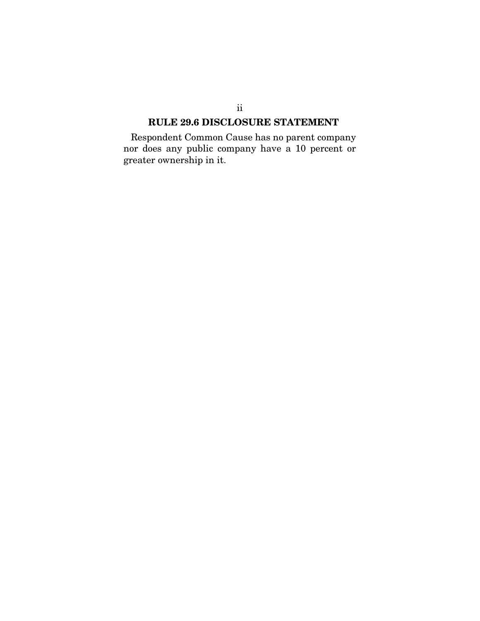### RULE 29.6 DISCLOSURE STATEMENT

Respondent Common Cause has no parent company nor does any public company have a 10 percent or greater ownership in it.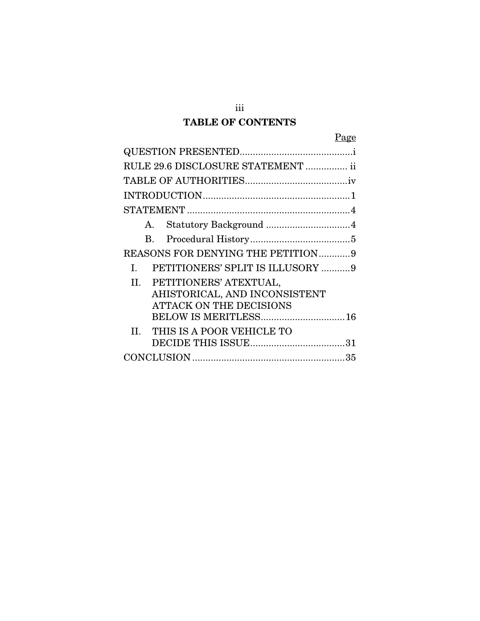# TABLE OF CONTENTS

| RULE 29.6 DISCLOSURE STATEMENT  ii     |
|----------------------------------------|
|                                        |
|                                        |
|                                        |
| Statutory Background 4<br>A.           |
| B.                                     |
| REASONS FOR DENYING THE PETITION9      |
| PETITIONERS' SPLIT IS ILLUSORY 9<br>Ι. |
| PETITIONERS' ATEXTUAL,<br>H.           |
| AHISTORICAL, AND INCONSISTENT          |
| <b>ATTACK ON THE DECISIONS</b>         |
| BELOW IS MERITLESS 16                  |
| II. THIS IS A POOR VEHICLE TO          |
|                                        |
|                                        |

iii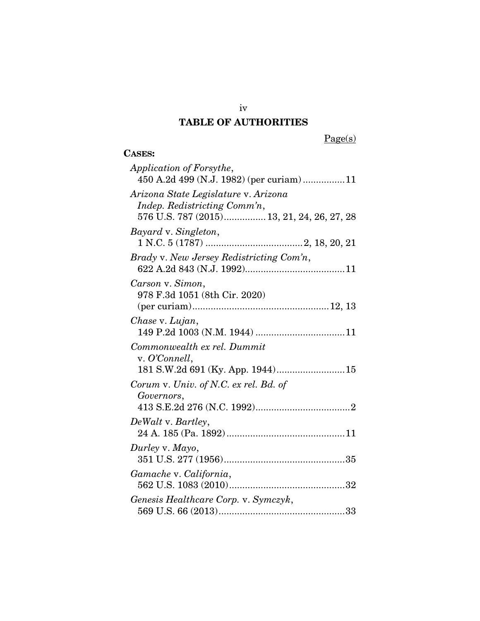# TABLE OF AUTHORITIES

 $Page(s)$ 

## CASES:

| Application of Forsythe,<br>450 A.2d 499 (N.J. 1982) (per curiam)11                                                |
|--------------------------------------------------------------------------------------------------------------------|
| Arizona State Legislature v. Arizona<br>Indep. Redistricting Comm'n,<br>576 U.S. 787 (2015) 13, 21, 24, 26, 27, 28 |
| Bayard v. Singleton,                                                                                               |
| Brady v. New Jersey Redistricting Com'n,                                                                           |
| Carson v. Simon,<br>978 F.3d 1051 (8th Cir. 2020)                                                                  |
| Chase v. Lujan,                                                                                                    |
| Commonwealth ex rel. Dummit<br>v. O'Connell,<br>181 S.W.2d 691 (Ky. App. 1944) 15                                  |
| Corum v. Univ. of N.C. ex rel. Bd. of<br>Governors,                                                                |
| DeWalt v. Bartley,                                                                                                 |
| Durley v. Mayo,                                                                                                    |
| Gamache v. California,                                                                                             |
| Genesis Healthcare Corp. v. Symczyk,                                                                               |

iv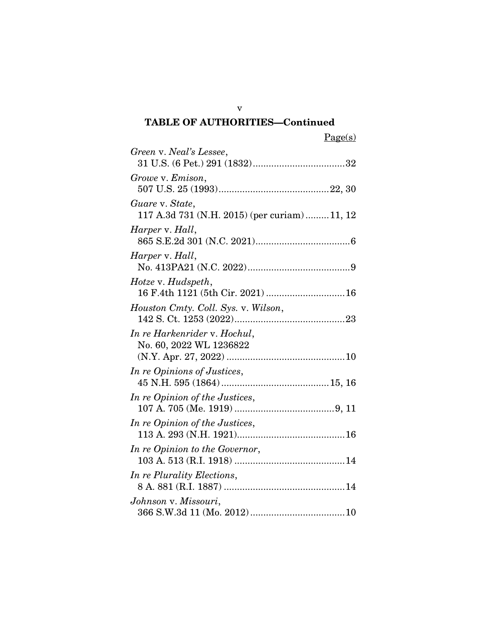|--|

| Green v. Neal's Lessee,                                        |
|----------------------------------------------------------------|
| Growe v. Emison,                                               |
| Guare v. State,<br>117 A.3d 731 (N.H. 2015) (per curiam)11, 12 |
| Harper v. Hall,                                                |
| Harper v. Hall,                                                |
| Hotze v. Hudspeth,<br>16 F.4th 1121 (5th Cir. 2021)  16        |
| Houston Cmty. Coll. Sys. v. Wilson,                            |
| In re Harkenrider v. Hochul,<br>No. 60, 2022 WL 1236822        |
| In re Opinions of Justices,                                    |
| In re Opinion of the Justices,                                 |
| In re Opinion of the Justices,                                 |
| In re Opinion to the Governor,                                 |
| In re Plurality Elections,                                     |
| Johnson v. Missouri,                                           |

v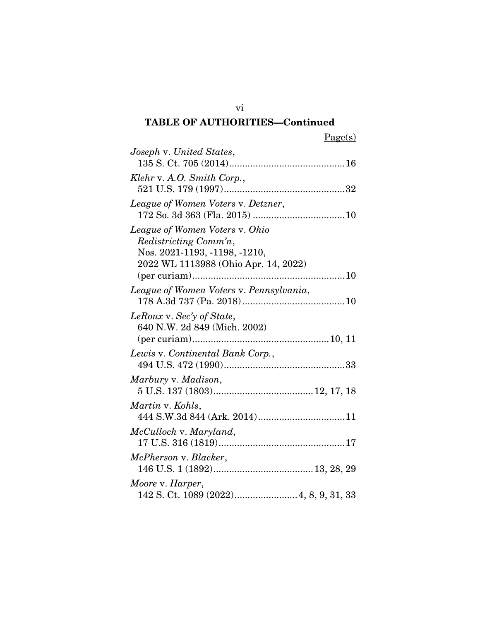| Joseph v. United States,                                              |
|-----------------------------------------------------------------------|
|                                                                       |
| Klehr v. A.O. Smith Corp.,                                            |
|                                                                       |
| League of Women Voters v. Detzner,                                    |
|                                                                       |
| League of Women Voters v. Ohio                                        |
| Redistricting Comm'n,                                                 |
| Nos. 2021-1193, -1198, -1210,<br>2022 WL 1113988 (Ohio Apr. 14, 2022) |
|                                                                       |
| League of Women Voters v. Pennsylvania,                               |
|                                                                       |
| LeRoux v. Sec'y of State,                                             |
| 640 N.W. 2d 849 (Mich. 2002)                                          |
|                                                                       |
| Lewis v. Continental Bank Corp.,                                      |
|                                                                       |
| Marbury v. Madison,                                                   |
|                                                                       |
| Martin v. Kohls,                                                      |
|                                                                       |
| McCulloch v. Maryland,                                                |
| McPherson v. Blacker,                                                 |
|                                                                       |
| Moore v. Harper,                                                      |
|                                                                       |
|                                                                       |

vi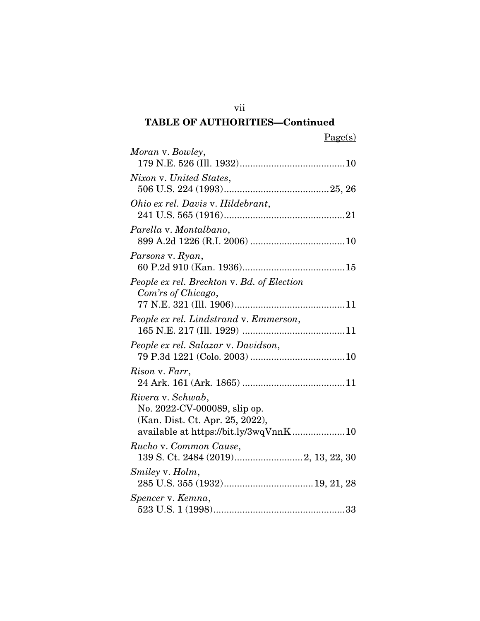Page(s)

| Moran v. Bowley,                                                |
|-----------------------------------------------------------------|
|                                                                 |
| Nixon v. United States,                                         |
|                                                                 |
|                                                                 |
| Ohio ex rel. Davis v. Hildebrant,                               |
|                                                                 |
| Parella v. Montalbano,                                          |
|                                                                 |
| Parsons v. Ryan,                                                |
|                                                                 |
| People ex rel. Breckton v. Bd. of Election                      |
| Com'rs of Chicago,                                              |
|                                                                 |
| People ex rel. Lindstrand v. Emmerson,                          |
|                                                                 |
| People ex rel. Salazar v. Davidson,                             |
|                                                                 |
| Rison v. Farr,                                                  |
|                                                                 |
|                                                                 |
| Rivera v. Schwab,                                               |
| No. 2022-CV-000089, slip op.<br>(Kan. Dist. Ct. Apr. 25, 2022), |
| available at https://bit.ly/3wqVnnK10                           |
|                                                                 |
| Rucho v. Common Cause,                                          |
|                                                                 |
| Smiley v. Holm,                                                 |
|                                                                 |
| Spencer v. Kemna,                                               |
|                                                                 |

vii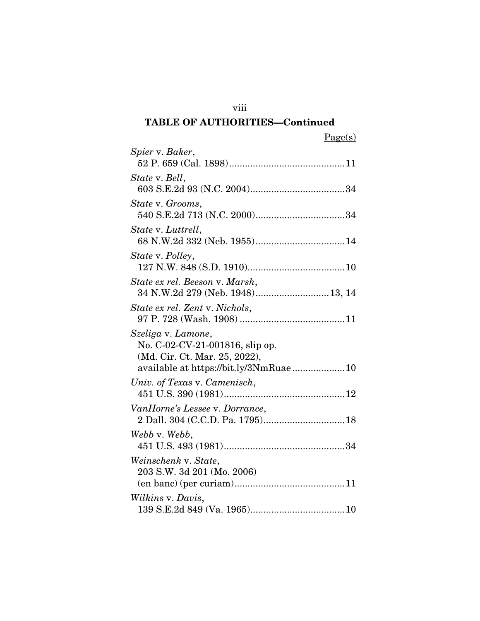| Spier v. Baker,                                                                                                                 |
|---------------------------------------------------------------------------------------------------------------------------------|
| State v. Bell,                                                                                                                  |
| State v. Grooms,                                                                                                                |
| State v. Luttrell,                                                                                                              |
| State v. Polley,                                                                                                                |
| State ex rel. Beeson v. Marsh,<br>34 N.W.2d 279 (Neb. 1948)13, 14                                                               |
| State ex rel. Zent v. Nichols,                                                                                                  |
| Szeliga v. Lamone,<br>No. C-02-CV-21-001816, slip op.<br>(Md. Cir. Ct. Mar. 25, 2022),<br>available at https://bit.ly/3NmRuae10 |
| Univ. of Texas v. Camenisch,                                                                                                    |
| VanHorne's Lessee v. Dorrance,<br>2 Dall. 304 (C.C.D. Pa. 1795) 18                                                              |
| Webb v. Webb,                                                                                                                   |
| Weinschenk v. State,<br>203 S.W. 3d 201 (Mo. 2006)                                                                              |
| Wilkins v. Davis,                                                                                                               |

viii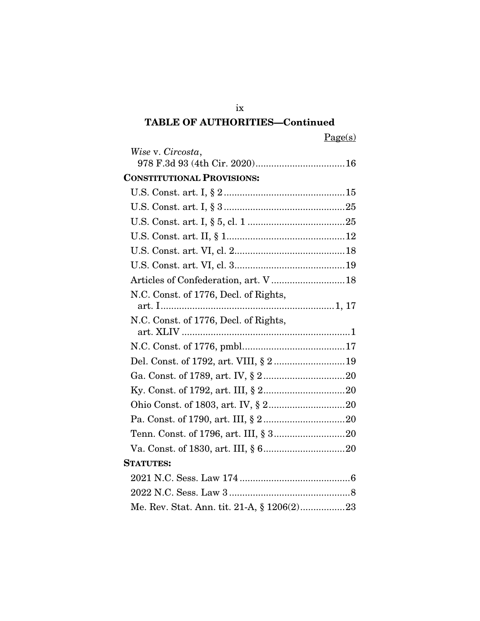Page(s)

| Wise v. Circosta,                          |  |
|--------------------------------------------|--|
|                                            |  |
| <b>CONSTITUTIONAL PROVISIONS:</b>          |  |
|                                            |  |
|                                            |  |
|                                            |  |
|                                            |  |
|                                            |  |
|                                            |  |
| Articles of Confederation, art. V  18      |  |
| N.C. Const. of 1776, Decl. of Rights,      |  |
|                                            |  |
| N.C. Const. of 1776, Decl. of Rights,      |  |
|                                            |  |
|                                            |  |
| Del. Const. of 1792, art. VIII, § 2 19     |  |
|                                            |  |
|                                            |  |
|                                            |  |
|                                            |  |
|                                            |  |
|                                            |  |
| <b>STATUTES:</b>                           |  |
|                                            |  |
|                                            |  |
| Me. Rev. Stat. Ann. tit. 21-A, § 1206(2)23 |  |

ix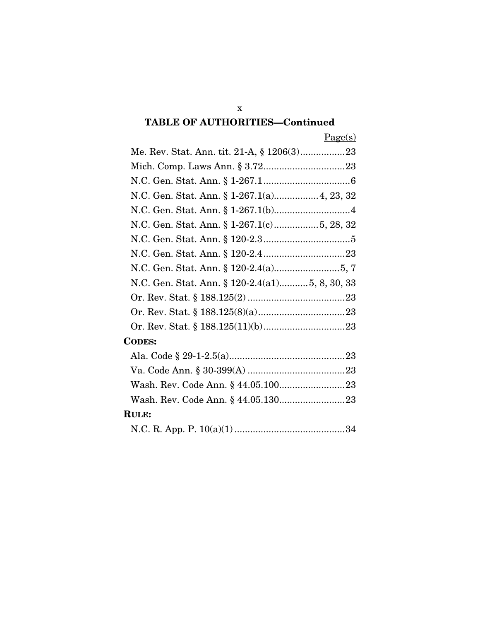| N.C. Gen. Stat. Ann. § 120-2.4(a1)5, 8, 30, 33 |
|------------------------------------------------|
|                                                |
|                                                |
|                                                |
| <b>CODES:</b>                                  |
|                                                |
|                                                |
|                                                |
|                                                |
| <b>RULE:</b>                                   |
| $\Omega$                                       |

|--|--|--|--|--|--|

x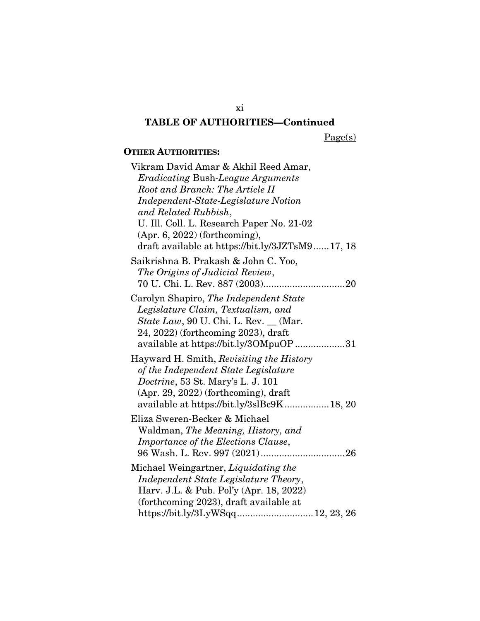Page(s)

### OTHER AUTHORITIES:

| Vikram David Amar & Akhil Reed Amar,            |  |  |  |  |
|-------------------------------------------------|--|--|--|--|
| <b>Eradicating Bush-League Arguments</b>        |  |  |  |  |
| Root and Branch: The Article II                 |  |  |  |  |
| Independent-State-Legislature Notion            |  |  |  |  |
| and Related Rubbish,                            |  |  |  |  |
| U. Ill. Coll. L. Research Paper No. 21-02       |  |  |  |  |
| $(Apr. 6, 2022)$ (forthcoming),                 |  |  |  |  |
| draft available at https://bit.ly/3JZTsM917, 18 |  |  |  |  |
| Saikrishna B. Prakash & John C. Yoo,            |  |  |  |  |
| The Origins of Judicial Review,                 |  |  |  |  |
|                                                 |  |  |  |  |
| Carolyn Shapiro, The Independent State          |  |  |  |  |
| Legislature Claim, Textualism, and              |  |  |  |  |
| <i>State Law</i> , 90 U. Chi. L. Rev. __ (Mar.  |  |  |  |  |
| 24, 2022) (forthcoming 2023), draft             |  |  |  |  |
| available at https://bit.ly/3OMpuOP31           |  |  |  |  |
| Hayward H. Smith, Revisiting the History        |  |  |  |  |
| of the Independent State Legislature            |  |  |  |  |
| Doctrine, 53 St. Mary's L. J. 101               |  |  |  |  |
| $(Apr. 29, 2022)$ (forthcoming), draft          |  |  |  |  |
| available at https://bit.ly/3slBc9K18, 20       |  |  |  |  |
| Eliza Sweren-Becker & Michael                   |  |  |  |  |
| Waldman, The Meaning, History, and              |  |  |  |  |
| Importance of the Elections Clause,             |  |  |  |  |
|                                                 |  |  |  |  |
| Michael Weingartner, <i>Liquidating the</i>     |  |  |  |  |
| Independent State Legislature Theory,           |  |  |  |  |
| Harv. J.L. & Pub. Pol'y (Apr. 18, 2022)         |  |  |  |  |
| (forthcoming 2023), draft available at          |  |  |  |  |
| https://bit.ly/3LyWSqq 12, 23, 26               |  |  |  |  |
|                                                 |  |  |  |  |

xi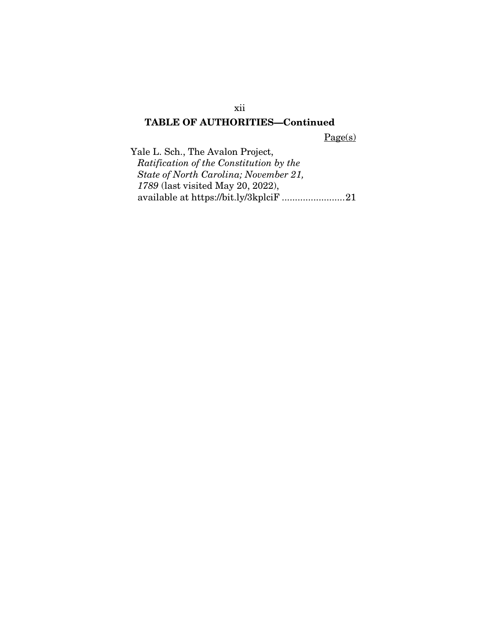Page(s)

Yale L. Sch., The Avalon Project, *Ratification of the Constitution by the State of North Carolina; November 21, 1789* (last visited May 20, 2022), available at https://bit.ly/3kplciF .......................[. 21](#page-33-4)

xii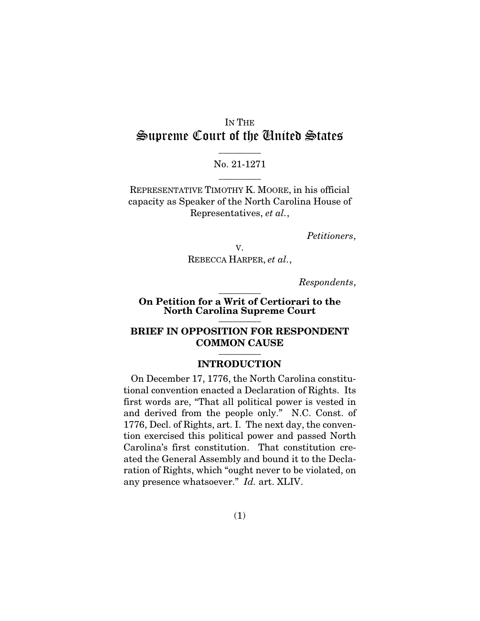# IN THE Supreme Court of the United States

## $\overline{\phantom{a}}$  . The set of  $\overline{\phantom{a}}$ No. 21-1271  $\overline{\phantom{a}}$  . The set of  $\overline{\phantom{a}}$

REPRESENTATIVE TIMOTHY K. MOORE, in his official capacity as Speaker of the North Carolina House of Representatives, *et al.*,

*Petitioners*,

V. REBECCA HARPER, *et al.*,

*Respondents*,

#### On Petition for a Writ of Certiorari to the North Carolina Supreme Court  $\overline{\phantom{a}}$

 $\overline{\phantom{a}}$  . The set of  $\overline{\phantom{a}}$ 

#### BRIEF IN OPPOSITION FOR RESPONDENT COMMON CAUSE  $\overline{\phantom{a}}$  . The set of  $\overline{\phantom{a}}$

#### <span id="page-13-1"></span><span id="page-13-0"></span>INTRODUCTION

On December 17, 1776, the North Carolina constitutional convention enacted a Declaration of Rights. Its first words are, "That all political power is vested in and derived from the people only." N.C. Const. of 1776, Decl. of Rights, art. I. The next day, the convention exercised this political power and passed North Carolina's first constitution. That constitution created the General Assembly and bound it to the Declaration of Rights, which "ought never to be violated, on any presence whatsoever." *Id.* art. XLIV.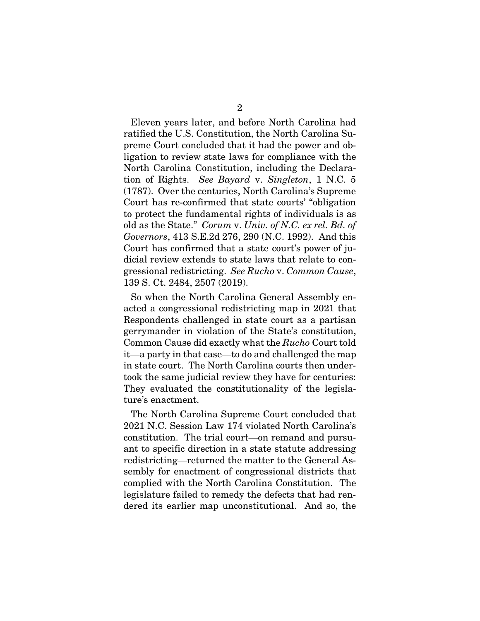<span id="page-14-0"></span>Eleven years later, and before North Carolina had ratified the U.S. Constitution, the North Carolina Supreme Court concluded that it had the power and obligation to review state laws for compliance with the North Carolina Constitution, including the Declaration of Rights. *See Bayard* v. *Singleton*, 1 N.C. 5 (1787). Over the centuries, North Carolina's Supreme Court has re-confirmed that state courts' "obligation to protect the fundamental rights of individuals is as old as the State." *Corum* v. *Univ. of N.C. ex rel. Bd. of Governors*, 413 S.E.2d 276, 290 (N.C. 1992). And this Court has confirmed that a state court's power of judicial review extends to state laws that relate to congressional redistricting. *See Rucho* v. *Common Cause*, 139 S. Ct. 2484, 2507 (2019).

<span id="page-14-2"></span><span id="page-14-1"></span>So when the North Carolina General Assembly enacted a congressional redistricting map in 2021 that Respondents challenged in state court as a partisan gerrymander in violation of the State's constitution, Common Cause did exactly what the *Rucho* Court told it—a party in that case—to do and challenged the map in state court. The North Carolina courts then undertook the same judicial review they have for centuries: They evaluated the constitutionality of the legislature's enactment.

The North Carolina Supreme Court concluded that 2021 N.C. Session Law 174 violated North Carolina's constitution. The trial court—on remand and pursuant to specific direction in a state statute addressing redistricting—returned the matter to the General Assembly for enactment of congressional districts that complied with the North Carolina Constitution. The legislature failed to remedy the defects that had rendered its earlier map unconstitutional. And so, the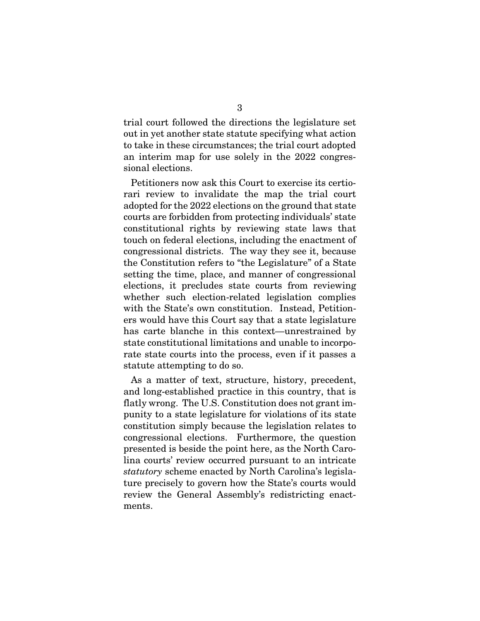trial court followed the directions the legislature set out in yet another state statute specifying what action to take in these circumstances; the trial court adopted an interim map for use solely in the 2022 congressional elections.

Petitioners now ask this Court to exercise its certiorari review to invalidate the map the trial court adopted for the 2022 elections on the ground that state courts are forbidden from protecting individuals' state constitutional rights by reviewing state laws that touch on federal elections, including the enactment of congressional districts. The way they see it, because the Constitution refers to "the Legislature" of a State setting the time, place, and manner of congressional elections, it precludes state courts from reviewing whether such election-related legislation complies with the State's own constitution. Instead, Petitioners would have this Court say that a state legislature has carte blanche in this context—unrestrained by state constitutional limitations and unable to incorporate state courts into the process, even if it passes a statute attempting to do so.

As a matter of text, structure, history, precedent, and long-established practice in this country, that is flatly wrong. The U.S. Constitution does not grant impunity to a state legislature for violations of its state constitution simply because the legislation relates to congressional elections. Furthermore, the question presented is beside the point here, as the North Carolina courts' review occurred pursuant to an intricate *statutory* scheme enacted by North Carolina's legislature precisely to govern how the State's courts would review the General Assembly's redistricting enactments.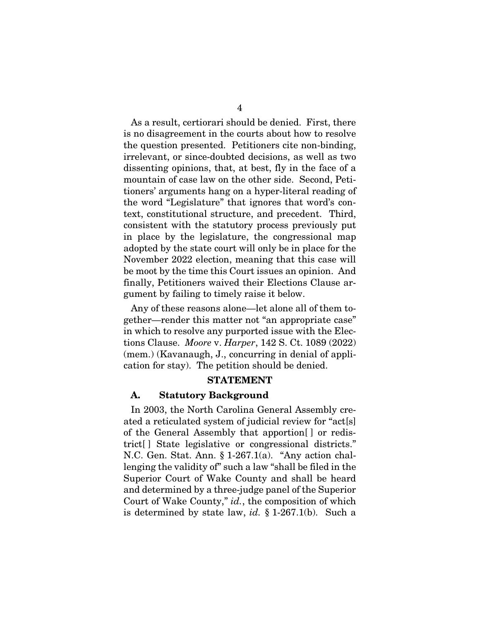As a result, certiorari should be denied. First, there is no disagreement in the courts about how to resolve the question presented. Petitioners cite non-binding, irrelevant, or since-doubted decisions, as well as two dissenting opinions, that, at best, fly in the face of a mountain of case law on the other side. Second, Petitioners' arguments hang on a hyper-literal reading of the word "Legislature" that ignores that word's context, constitutional structure, and precedent. Third, consistent with the statutory process previously put in place by the legislature, the congressional map adopted by the state court will only be in place for the November 2022 election, meaning that this case will be moot by the time this Court issues an opinion. And finally, Petitioners waived their Elections Clause argument by failing to timely raise it below.

Any of these reasons alone—let alone all of them together—render this matter not "an appropriate case" in which to resolve any purported issue with the Elections Clause. *Moore* v. *Harper*, 142 S. Ct. 1089 (2022) (mem.) (Kavanaugh, J., concurring in denial of application for stay). The petition should be denied.

#### <span id="page-16-2"></span><span id="page-16-0"></span>STATEMENT

#### A. Statutory Background

<span id="page-16-1"></span>In 2003, the North Carolina General Assembly created a reticulated system of judicial review for "act[s] of the General Assembly that apportion[ ] or redistrict[ ] State legislative or congressional districts." N.C. Gen. Stat. Ann. § 1-267.1(a). "Any action challenging the validity of" such a law "shall be filed in the Superior Court of Wake County and shall be heard and determined by a three-judge panel of the Superior Court of Wake County," *id.*, the composition of which is determined by state law, *id.* § 1-267.1(b). Such a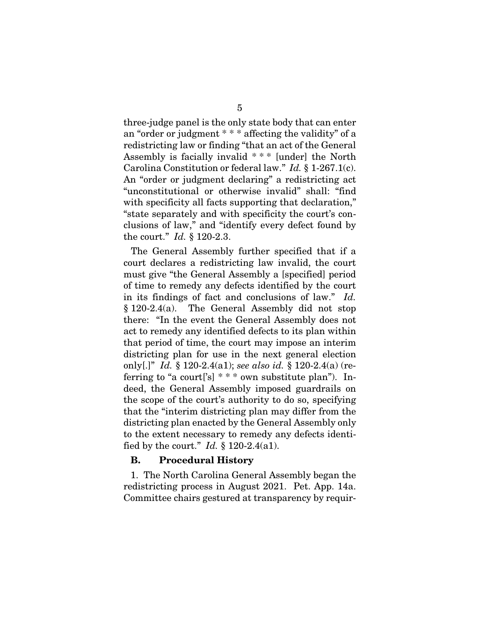<span id="page-17-0"></span>three-judge panel is the only state body that can enter an "order or judgment \* \* \* affecting the validity" of a redistricting law or finding "that an act of the General Assembly is facially invalid \* \* \* [under] the North Carolina Constitution or federal law." *Id.* § 1-267.1(c). An "order or judgment declaring" a redistricting act "unconstitutional or otherwise invalid" shall: "find with specificity all facts supporting that declaration," "state separately and with specificity the court's conclusions of law," and "identify every defect found by the court." *Id.* § 120-2.3.

<span id="page-17-2"></span><span id="page-17-1"></span>The General Assembly further specified that if a court declares a redistricting law invalid, the court must give "the General Assembly a [specified] period of time to remedy any defects identified by the court in its findings of fact and conclusions of law." *Id.* § 120-2.4(a). The General Assembly did not stop there: "In the event the General Assembly does not act to remedy any identified defects to its plan within that period of time, the court may impose an interim districting plan for use in the next general election only[.]" *Id.* § 120-2.4(a1); *see also id.* § 120-2.4(a) (referring to "a court['s]  $***$  own substitute plan"). Indeed, the General Assembly imposed guardrails on the scope of the court's authority to do so, specifying that the "interim districting plan may differ from the districting plan enacted by the General Assembly only to the extent necessary to remedy any defects identified by the court." *Id.* § 120-2.4(a1).

#### <span id="page-17-3"></span>B. Procedural History

1. The North Carolina General Assembly began the redistricting process in August 2021. Pet. App. 14a. Committee chairs gestured at transparency by requir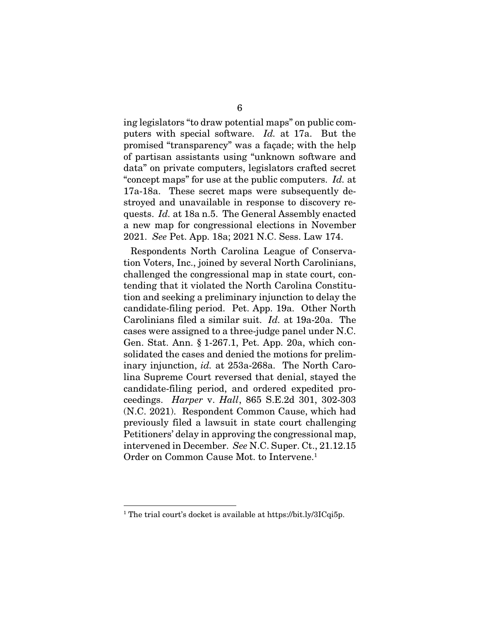ing legislators "to draw potential maps" on public computers with special software. *Id.* at 17a. But the promised "transparency" was a façade; with the help of partisan assistants using "unknown software and data" on private computers, legislators crafted secret "concept maps" for use at the public computers. *Id.* at 17a-18a. These secret maps were subsequently destroyed and unavailable in response to discovery requests. *Id.* at 18a n.5. The General Assembly enacted a new map for congressional elections in November 2021. *See* Pet. App. 18a; 2021 N.C. Sess. Law 174.

<span id="page-18-2"></span><span id="page-18-1"></span>Respondents North Carolina League of Conservation Voters, Inc., joined by several North Carolinians, challenged the congressional map in state court, contending that it violated the North Carolina Constitution and seeking a preliminary injunction to delay the candidate-filing period. Pet. App. 19a. Other North Carolinians filed a similar suit. *Id.* at 19a-20a. The cases were assigned to a three-judge panel under N.C. Gen. Stat. Ann. § 1-267.1, Pet. App. 20a, which consolidated the cases and denied the motions for preliminary injunction, *id.* at 253a-268a. The North Carolina Supreme Court reversed that denial, stayed the candidate-filing period, and ordered expedited proceedings. *Harper* v. *Hall*, 865 S.E.2d 301, 302-303 (N.C. 2021). Respondent Common Cause, which had previously filed a lawsuit in state court challenging Petitioners' delay in approving the congressional map, intervened in December. *See* N.C. Super. Ct., 21.12.15 Order on Common Cause Mot. to Intervene.<sup>1</sup>

<span id="page-18-0"></span><sup>&</sup>lt;sup>1</sup> The trial court's docket is available at https://bit.ly/3ICqi5p.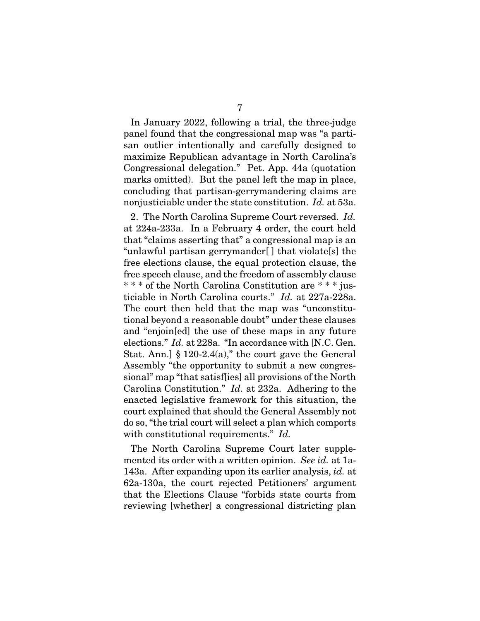In January 2022, following a trial, the three-judge panel found that the congressional map was "a partisan outlier intentionally and carefully designed to maximize Republican advantage in North Carolina's Congressional delegation." Pet. App. 44a (quotation marks omitted). But the panel left the map in place, concluding that partisan-gerrymandering claims are nonjusticiable under the state constitution. *Id.* at 53a.

2. The North Carolina Supreme Court reversed. *Id.* at 224a-233a. In a February 4 order, the court held that "claims asserting that" a congressional map is an "unlawful partisan gerrymander[ ] that violate[s] the free elections clause, the equal protection clause, the free speech clause, and the freedom of assembly clause \* \* \* of the North Carolina Constitution are \* \* \* justiciable in North Carolina courts." *Id.* at 227a-228a. The court then held that the map was "unconstitutional beyond a reasonable doubt" under these clauses and "enjoin[ed] the use of these maps in any future elections." *Id.* at 228a. "In accordance with [N.C. Gen. Stat. Ann.]  $§ 120-2.4(a)$ ," the court gave the General Assembly "the opportunity to submit a new congressional" map "that satisf[ies] all provisions of the North Carolina Constitution." *Id.* at 232a. Adhering to the enacted legislative framework for this situation, the court explained that should the General Assembly not do so, "the trial court will select a plan which comports with constitutional requirements." *Id.*

The North Carolina Supreme Court later supplemented its order with a written opinion. *See id.* at 1a-143a. After expanding upon its earlier analysis, *id.* at 62a-130a, the court rejected Petitioners' argument that the Elections Clause "forbids state courts from reviewing [whether] a congressional districting plan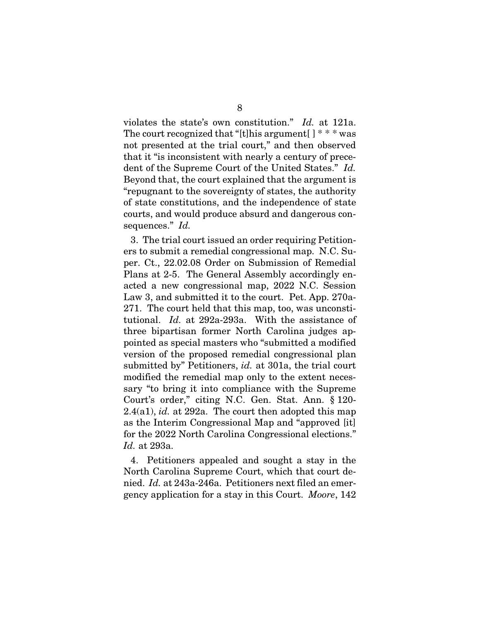violates the state's own constitution." *Id.* at 121a. The court recognized that "[t]his argument  $\lceil$  \* \* \* was not presented at the trial court," and then observed that it "is inconsistent with nearly a century of precedent of the Supreme Court of the United States." *Id.* Beyond that, the court explained that the argument is "repugnant to the sovereignty of states, the authority of state constitutions, and the independence of state courts, and would produce absurd and dangerous consequences." *Id.*

<span id="page-20-1"></span>3. The trial court issued an order requiring Petitioners to submit a remedial congressional map. N.C. Super. Ct., 22.02.08 Order on Submission of Remedial Plans at 2-5. The General Assembly accordingly enacted a new congressional map, 2022 N.C. Session Law 3, and submitted it to the court. Pet. App. 270a-271. The court held that this map, too, was unconstitutional. *Id.* at 292a-293a. With the assistance of three bipartisan former North Carolina judges appointed as special masters who "submitted a modified version of the proposed remedial congressional plan submitted by" Petitioners, *id.* at 301a, the trial court modified the remedial map only to the extent necessary "to bring it into compliance with the Supreme Court's order," citing N.C. Gen. Stat. Ann. § 120- 2.4(a1), *id.* at 292a. The court then adopted this map as the Interim Congressional Map and "approved [it] for the 2022 North Carolina Congressional elections." *Id.* at 293a.

<span id="page-20-2"></span><span id="page-20-0"></span>4. Petitioners appealed and sought a stay in the North Carolina Supreme Court, which that court denied. *Id.* at 243a-246a. Petitioners next filed an emergency application for a stay in this Court. *Moore*, 142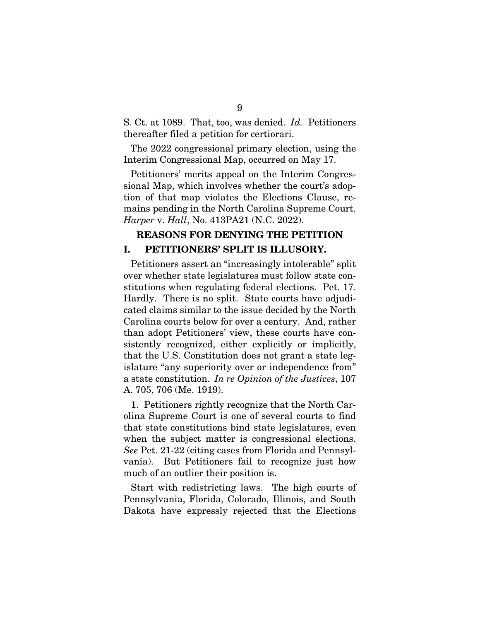S. Ct. at 1089. That, too, was denied. *Id.* Petitioners thereafter filed a petition for certiorari.

The 2022 congressional primary election, using the Interim Congressional Map, occurred on May 17.

Petitioners' merits appeal on the Interim Congressional Map, which involves whether the court's adoption of that map violates the Elections Clause, remains pending in the North Carolina Supreme Court. *Harper* v. *Hall*, No. 413PA21 (N.C. 2022).

### <span id="page-21-0"></span>REASONS FOR DENYING THE PETITION I. PETITIONERS' SPLIT IS ILLUSORY.

Petitioners assert an "increasingly intolerable" split over whether state legislatures must follow state constitutions when regulating federal elections. Pet. 17. Hardly. There is no split. State courts have adjudicated claims similar to the issue decided by the North Carolina courts below for over a century. And, rather than adopt Petitioners' view, these courts have consistently recognized, either explicitly or implicitly, that the U.S. Constitution does not grant a state legislature "any superiority over or independence from" a state constitution. *In re Opinion of the Justices*, 107 A. 705, 706 (Me. 1919).

<span id="page-21-1"></span>1. Petitioners rightly recognize that the North Carolina Supreme Court is one of several courts to find that state constitutions bind state legislatures, even when the subject matter is congressional elections. *See* Pet. 21-22 (citing cases from Florida and Pennsylvania). But Petitioners fail to recognize just how much of an outlier their position is.

Start with redistricting laws. The high courts of Pennsylvania, Florida, Colorado, Illinois, and South Dakota have expressly rejected that the Elections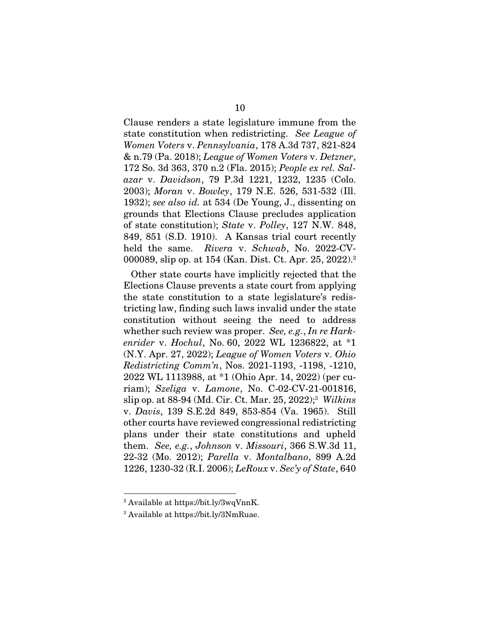<span id="page-22-8"></span><span id="page-22-6"></span><span id="page-22-4"></span><span id="page-22-2"></span>Clause renders a state legislature immune from the state constitution when redistricting. *See League of Women Voters* v. *Pennsylvania*, 178 A.3d 737, 821-824 & n.79 (Pa. 2018); *League of Women Voters* v. *Detzner*, 172 So. 3d 363, 370 n.2 (Fla. 2015); *People ex rel. Salazar* v. *Davidson*, 79 P.3d 1221, 1232, 1235 (Colo. 2003); *Moran* v. *Bowley*, 179 N.E. 526, 531-532 (Ill. 1932); *see also id.* at 534 (De Young, J., dissenting on grounds that Elections Clause precludes application of state constitution); *State* v. *Polley*, 127 N.W. 848, 849, 851 (S.D. 1910). A Kansas trial court recently held the same. *Rivera* v. *Schwab*, No. 2022-CV-000089, slip op. at 154 (Kan. Dist. Ct. Apr. 25, 2022).<sup>2</sup>

<span id="page-22-11"></span><span id="page-22-10"></span><span id="page-22-9"></span><span id="page-22-3"></span><span id="page-22-0"></span>Other state courts have implicitly rejected that the Elections Clause prevents a state court from applying the state constitution to a state legislature's redistricting law, finding such laws invalid under the state constitution without seeing the need to address whether such review was proper. *See, e.g.*, *In re Harkenrider* v. *Hochul*, No. 60, 2022 WL 1236822, at \*1 (N.Y. Apr. 27, 2022); *League of Women Voters* v. *Ohio Redistricting Comm'n*, Nos. 2021-1193, -1198, -1210, 2022 WL 1113988, at \*1 (Ohio Apr. 14, 2022) (per curiam); *Szeliga* v. *Lamone*, No. C-02-CV-21-001816, slip op. at 88-94 (Md. Cir. Ct. Mar. 25, 2022);<sup>3</sup> *Wilkins* v. *Davis*, 139 S.E.2d 849, 853-854 (Va. 1965). Still other courts have reviewed congressional redistricting plans under their state constitutions and upheld them. *See, e.g.*, *Johnson* v. *Missouri*, 366 S.W.3d 11, 22-32 (Mo. 2012); *Parella* v. *Montalbano*, 899 A.2d 1226, 1230-32 (R.I. 2006); *LeRoux* v. *Sec'y of State*, 640

<span id="page-22-12"></span><span id="page-22-7"></span><span id="page-22-5"></span><span id="page-22-1"></span><sup>2</sup> Available at https://bit.ly/3wqVnnK.

<sup>3</sup> Available at https://bit.ly/3NmRuae.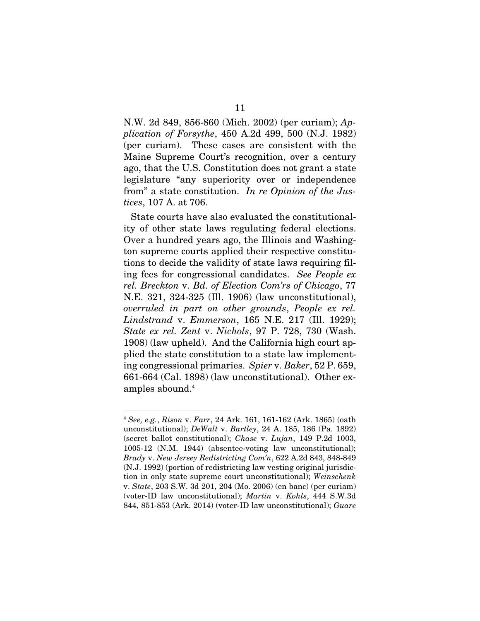<span id="page-23-0"></span>N.W. 2d 849, 856-860 (Mich. 2002) (per curiam); *Application of Forsythe*, 450 A.2d 499, 500 (N.J. 1982) (per curiam). These cases are consistent with the Maine Supreme Court's recognition, over a century ago, that the U.S. Constitution does not grant a state legislature "any superiority over or independence from" a state constitution. *In re Opinion of the Justices*, 107 A. at 706.

<span id="page-23-7"></span><span id="page-23-5"></span>State courts have also evaluated the constitutionality of other state laws regulating federal elections. Over a hundred years ago, the Illinois and Washington supreme courts applied their respective constitutions to decide the validity of state laws requiring filing fees for congressional candidates. *See People ex rel. Breckton* v. *Bd. of Election Com'rs of Chicago*, 77 N.E. 321, 324-325 (Ill. 1906) (law unconstitutional), *overruled in part on other grounds*, *People ex rel. Lindstrand* v. *Emmerson*, 165 N.E. 217 (Ill. 1929); *State ex rel. Zent* v. *Nichols*, 97 P. 728, 730 (Wash. 1908) (law upheld). And the California high court applied the state constitution to a state law implementing congressional primaries. *Spier* v. *Baker*, 52 P. 659, 661-664 (Cal. 1898) (law unconstitutional). Other examples abound.<sup>4</sup>

<span id="page-23-11"></span><span id="page-23-10"></span><span id="page-23-9"></span><span id="page-23-8"></span><span id="page-23-6"></span><span id="page-23-4"></span><span id="page-23-3"></span><span id="page-23-2"></span><span id="page-23-1"></span><sup>4</sup> *See, e.g.*, *Rison* v. *Farr*, 24 Ark. 161, 161-162 (Ark. 1865) (oath unconstitutional); *DeWalt* v. *Bartley*, 24 A. 185, 186 (Pa. 1892) (secret ballot constitutional); *Chase* v. *Lujan*, 149 P.2d 1003, 1005-12 (N.M. 1944) (absentee-voting law unconstitutional); *Brady* v. *New Jersey Redistricting Com'n*, 622 A.2d 843, 848-849 (N.J. 1992) (portion of redistricting law vesting original jurisdiction in only state supreme court unconstitutional); *Weinschenk* v. *State*, 203 S.W. 3d 201, 204 (Mo. 2006) (en banc) (per curiam) (voter-ID law unconstitutional); *Martin* v. *Kohls*, 444 S.W.3d 844, 851-853 (Ark. 2014) (voter-ID law unconstitutional); *Guare*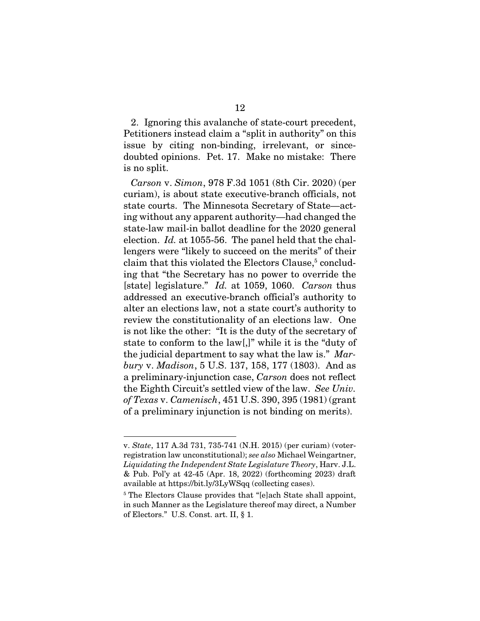2. Ignoring this avalanche of state-court precedent, Petitioners instead claim a "split in authority" on this issue by citing non-binding, irrelevant, or sincedoubted opinions. Pet. 17. Make no mistake: There is no split.

<span id="page-24-0"></span>*Carson* v. *Simon*, 978 F.3d 1051 (8th Cir. 2020) (per curiam), is about state executive-branch officials, not state courts. The Minnesota Secretary of State—acting without any apparent authority—had changed the state-law mail-in ballot deadline for the 2020 general election. *Id.* at 1055-56. The panel held that the challengers were "likely to succeed on the merits" of their claim that this violated the Electors Clause,<sup>5</sup> concluding that "the Secretary has no power to override the [state] legislature." *Id.* at 1059, 1060. *Carson* thus addressed an executive-branch official's authority to alter an elections law, not a state court's authority to review the constitutionality of an elections law. One is not like the other: "It is the duty of the secretary of state to conform to the law[,]" while it is the "duty of the judicial department to say what the law is." *Marbury* v. *Madison*, 5 U.S. 137, 158, 177 (1803). And as a preliminary-injunction case, *Carson* does not reflect the Eighth Circuit's settled view of the law. *See Univ. of Texas* v. *Camenisch*, 451 U.S. 390, 395 (1981) (grant of a preliminary injunction is not binding on merits).

<span id="page-24-4"></span><span id="page-24-2"></span><span id="page-24-1"></span>v. *State*, 117 A.3d 731, 735-741 (N.H. 2015) (per curiam) (voterregistration law unconstitutional); *see also* Michael Weingartner, *Liquidating the Independent State Legislature Theory*, Harv. J.L. & Pub. Pol'y at 42-45 (Apr. 18, 2022) (forthcoming 2023) draft available at https://bit.ly/3LyWSqq (collecting cases).

<span id="page-24-3"></span><sup>&</sup>lt;sup>5</sup> The Electors Clause provides that "[e]ach State shall appoint, in such Manner as the Legislature thereof may direct, a Number of Electors." U.S. Const. art. II, § 1.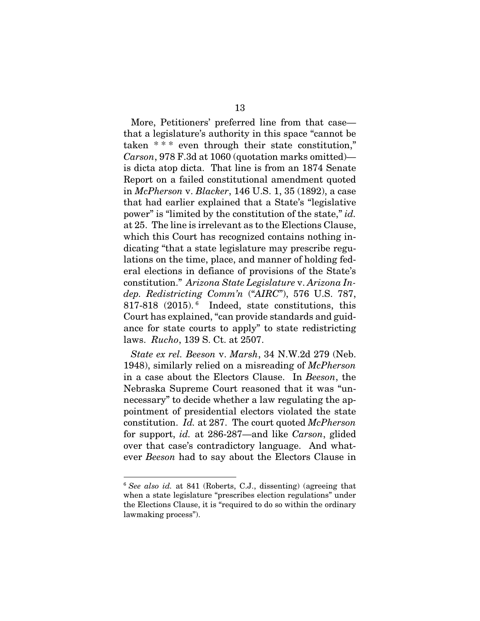<span id="page-25-2"></span><span id="page-25-1"></span>More, Petitioners' preferred line from that case that a legislature's authority in this space "cannot be taken \* \* \* even through their state constitution," *Carson*, 978 F.3d at 1060 (quotation marks omitted) is dicta atop dicta. That line is from an 1874 Senate Report on a failed constitutional amendment quoted in *McPherson* v. *Blacker*, 146 U.S. 1, 35 (1892), a case that had earlier explained that a State's "legislative power" is "limited by the constitution of the state," *id.* at 25. The line is irrelevant as to the Elections Clause, which this Court has recognized contains nothing indicating "that a state legislature may prescribe regulations on the time, place, and manner of holding federal elections in defiance of provisions of the State's constitution." *Arizona State Legislature* v. *Arizona Indep. Redistricting Comm'n* ("*AIRC*"), 576 U.S. 787, 817-818 (2015). <sup>6</sup> Indeed, state constitutions, this Court has explained, "can provide standards and guidance for state courts to apply" to state redistricting laws. *Rucho*, 139 S. Ct. at 2507.

<span id="page-25-4"></span><span id="page-25-3"></span><span id="page-25-0"></span>*State ex rel. Beeson* v. *Marsh*, 34 N.W.2d 279 (Neb. 1948), similarly relied on a misreading of *McPherson* in a case about the Electors Clause. In *Beeson*, the Nebraska Supreme Court reasoned that it was "unnecessary" to decide whether a law regulating the appointment of presidential electors violated the state constitution. *Id.* at 287. The court quoted *McPherson* for support, *id.* at 286-287—and like *Carson*, glided over that case's contradictory language. And whatever *Beeson* had to say about the Electors Clause in

<sup>6</sup> *See also id.* at 841 (Roberts, C.J., dissenting) (agreeing that when a state legislature "prescribes election regulations" under the Elections Clause, it is "required to do so within the ordinary lawmaking process").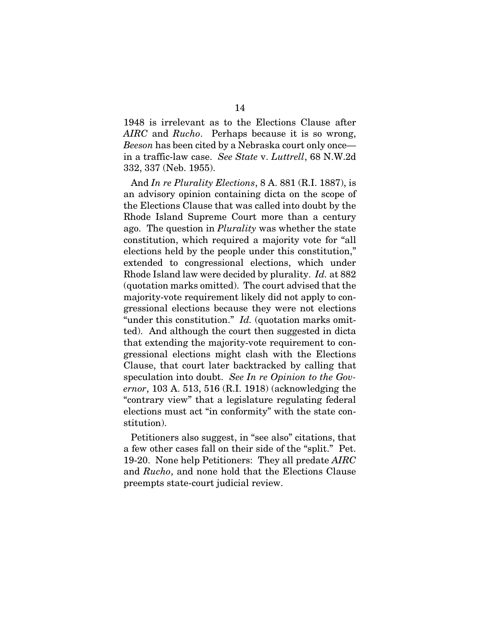1948 is irrelevant as to the Elections Clause after *AIRC* and *Rucho*. Perhaps because it is so wrong, *Beeson* has been cited by a Nebraska court only once in a traffic-law case. *See State* v. *Luttrell*, 68 N.W.2d 332, 337 (Neb. 1955).

<span id="page-26-2"></span><span id="page-26-1"></span>And *In re Plurality Elections*, 8 A. 881 (R.I. 1887), is an advisory opinion containing dicta on the scope of the Elections Clause that was called into doubt by the Rhode Island Supreme Court more than a century ago. The question in *Plurality* was whether the state constitution, which required a majority vote for "all elections held by the people under this constitution," extended to congressional elections, which under Rhode Island law were decided by plurality. *Id.* at 882 (quotation marks omitted). The court advised that the majority-vote requirement likely did not apply to congressional elections because they were not elections "under this constitution." *Id.* (quotation marks omitted). And although the court then suggested in dicta that extending the majority-vote requirement to congressional elections might clash with the Elections Clause, that court later backtracked by calling that speculation into doubt. *See In re Opinion to the Governor*, 103 A. 513, 516 (R.I. 1918) (acknowledging the "contrary view" that a legislature regulating federal elections must act "in conformity" with the state constitution).

<span id="page-26-0"></span>Petitioners also suggest, in "see also" citations, that a few other cases fall on their side of the "split." Pet. 19-20. None help Petitioners: They all predate *AIRC* and *Rucho*, and none hold that the Elections Clause preempts state-court judicial review.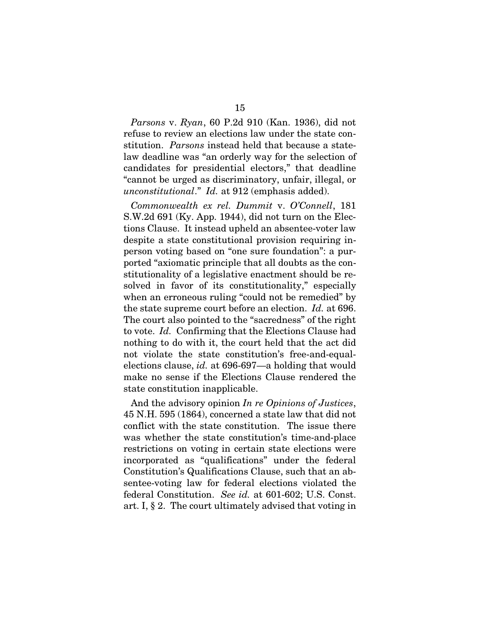<span id="page-27-2"></span>*Parsons* v. *Ryan*, 60 P.2d 910 (Kan. 1936), did not refuse to review an elections law under the state constitution. *Parsons* instead held that because a statelaw deadline was "an orderly way for the selection of candidates for presidential electors," that deadline "cannot be urged as discriminatory, unfair, illegal, or *unconstitutional*." *Id.* at 912 (emphasis added).

<span id="page-27-0"></span>*Commonwealth ex rel. Dummit* v. *O'Connell*, 181 S.W.2d 691 (Ky. App. 1944), did not turn on the Elections Clause. It instead upheld an absentee-voter law despite a state constitutional provision requiring inperson voting based on "one sure foundation": a purported "axiomatic principle that all doubts as the constitutionality of a legislative enactment should be resolved in favor of its constitutionality," especially when an erroneous ruling "could not be remedied" by the state supreme court before an election. *Id.* at 696. The court also pointed to the "sacredness" of the right to vote. *Id.* Confirming that the Elections Clause had nothing to do with it, the court held that the act did not violate the state constitution's free-and-equalelections clause, *id.* at 696-697—a holding that would make no sense if the Elections Clause rendered the state constitution inapplicable.

<span id="page-27-3"></span><span id="page-27-1"></span>And the advisory opinion *In re Opinions of Justices*, 45 N.H. 595 (1864), concerned a state law that did not conflict with the state constitution. The issue there was whether the state constitution's time-and-place restrictions on voting in certain state elections were incorporated as "qualifications" under the federal Constitution's Qualifications Clause, such that an absentee-voting law for federal elections violated the federal Constitution. *See id.* at 601-602; U.S. Const. art. I, § 2. The court ultimately advised that voting in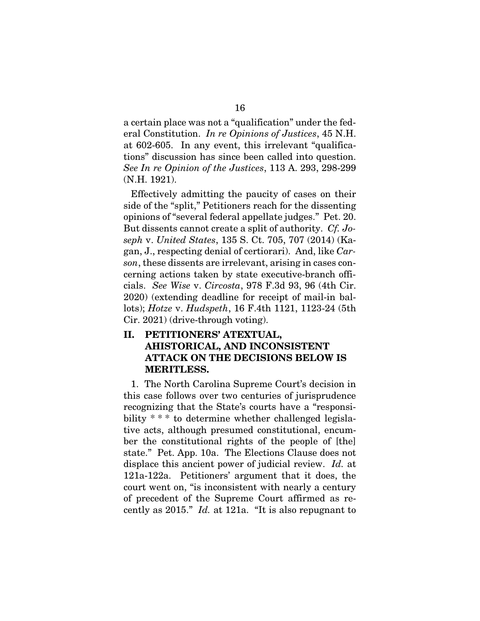a certain place was not a "qualification" under the federal Constitution. *In re Opinions of Justices*, 45 N.H. at 602-605. In any event, this irrelevant "qualifications" discussion has since been called into question. *See In re Opinion of the Justices*, 113 A. 293, 298-299 (N.H. 1921).

<span id="page-28-2"></span><span id="page-28-1"></span>Effectively admitting the paucity of cases on their side of the "split," Petitioners reach for the dissenting opinions of "several federal appellate judges." Pet. 20. But dissents cannot create a split of authority. *Cf. Joseph* v. *United States*, 135 S. Ct. 705, 707 (2014) (Kagan, J., respecting denial of certiorari). And, like *Carson*, these dissents are irrelevant, arising in cases concerning actions taken by state executive-branch officials. *See Wise* v. *Circosta*, 978 F.3d 93, 96 (4th Cir. 2020) (extending deadline for receipt of mail-in ballots); *Hotze* v. *Hudspeth*, 16 F.4th 1121, 1123-24 (5th Cir. 2021) (drive-through voting).

### <span id="page-28-3"></span><span id="page-28-0"></span>II. PETITIONERS' ATEXTUAL, AHISTORICAL, AND INCONSISTENT ATTACK ON THE DECISIONS BELOW IS MERITLESS.

1. The North Carolina Supreme Court's decision in this case follows over two centuries of jurisprudence recognizing that the State's courts have a "responsibility \* \* \* to determine whether challenged legislative acts, although presumed constitutional, encumber the constitutional rights of the people of [the] state." Pet. App. 10a. The Elections Clause does not displace this ancient power of judicial review. *Id.* at 121a-122a. Petitioners' argument that it does, the court went on, "is inconsistent with nearly a century of precedent of the Supreme Court affirmed as recently as 2015." *Id.* at 121a. "It is also repugnant to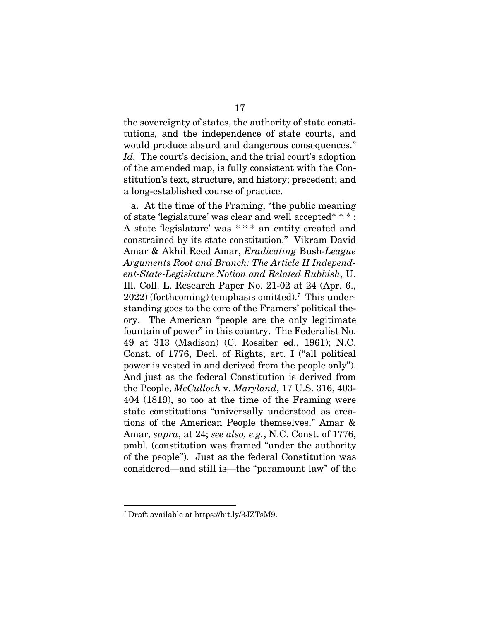the sovereignty of states, the authority of state constitutions, and the independence of state courts, and would produce absurd and dangerous consequences." *Id.* The court's decision, and the trial court's adoption of the amended map, is fully consistent with the Constitution's text, structure, and history; precedent; and a long-established course of practice.

<span id="page-29-2"></span>a. At the time of the Framing, "the public meaning of state 'legislature' was clear and well accepted\* \* \* : A state 'legislature' was \* \* \* an entity created and constrained by its state constitution." Vikram David Amar & Akhil Reed Amar, *Eradicating* Bush*-League Arguments Root and Branch: The Article II Independent-State-Legislature Notion and Related Rubbish*, U. Ill. Coll. L. Research Paper No. 21-02 at 24 (Apr. 6., 2022) (forthcoming) (emphasis omitted).<sup>7</sup> This understanding goes to the core of the Framers' political theory. The American "people are the only legitimate fountain of power" in this country. The Federalist No. 49 at 313 (Madison) (C. Rossiter ed., 1961); N.C. Const. of 1776, Decl. of Rights, art. I ("all political power is vested in and derived from the people only"). And just as the federal Constitution is derived from the People, *McCulloch* v. *Maryland*, 17 U.S. 316, 403- 404 (1819), so too at the time of the Framing were state constitutions "universally understood as creations of the American People themselves," Amar & Amar, *supra*, at 24; *see also, e.g.*, N.C. Const. of 1776, pmbl. (constitution was framed "under the authority of the people"). Just as the federal Constitution was considered—and still is—the "paramount law" of the

<span id="page-29-1"></span><span id="page-29-0"></span><sup>7</sup> Draft available at https://bit.ly/3JZTsM9.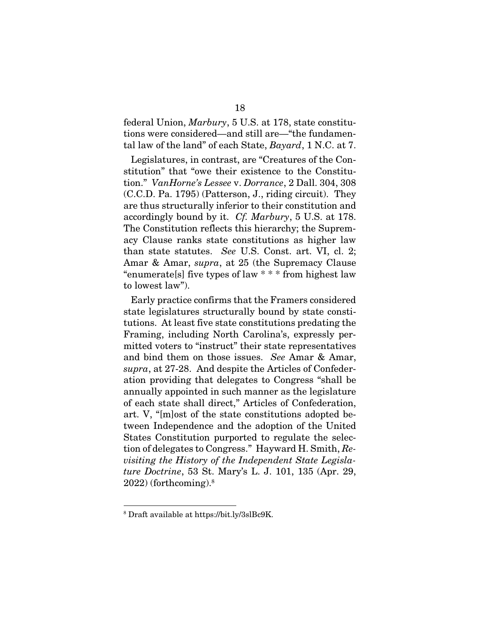<span id="page-30-1"></span>federal Union, *Marbury*, 5 U.S. at 178, state constitutions were considered—and still are—"the fundamental law of the land" of each State, *Bayard*, 1 N.C. at 7.

<span id="page-30-2"></span><span id="page-30-0"></span>Legislatures, in contrast, are "Creatures of the Constitution" that "owe their existence to the Constitution." *VanHorne's Lessee* v. *Dorrance*, 2 Dall. 304, 308 (C.C.D. Pa. 1795) (Patterson, J., riding circuit). They are thus structurally inferior to their constitution and accordingly bound by it. *Cf. Marbury*, 5 U.S. at 178. The Constitution reflects this hierarchy; the Supremacy Clause ranks state constitutions as higher law than state statutes. *See* U.S. Const. art. VI, cl. 2; Amar & Amar, *supra*, at 25 (the Supremacy Clause "enumerate[s] five types of law \* \* \* from highest law to lowest law").

<span id="page-30-5"></span><span id="page-30-4"></span><span id="page-30-3"></span>Early practice confirms that the Framers considered state legislatures structurally bound by state constitutions. At least five state constitutions predating the Framing, including North Carolina's, expressly permitted voters to "instruct" their state representatives and bind them on those issues. *See* Amar & Amar, *supra*, at 27-28. And despite the Articles of Confederation providing that delegates to Congress "shall be annually appointed in such manner as the legislature of each state shall direct," Articles of Confederation, art. V, "[m]ost of the state constitutions adopted between Independence and the adoption of the United States Constitution purported to regulate the selection of delegates to Congress." Hayward H. Smith, *Revisiting the History of the Independent State Legislature Doctrine*, 53 St. Mary's L. J. 101, 135 (Apr. 29,  $2022$ ) (forthcoming). $8$ 

<span id="page-30-6"></span><sup>8</sup> Draft available at https://bit.ly/3slBc9K.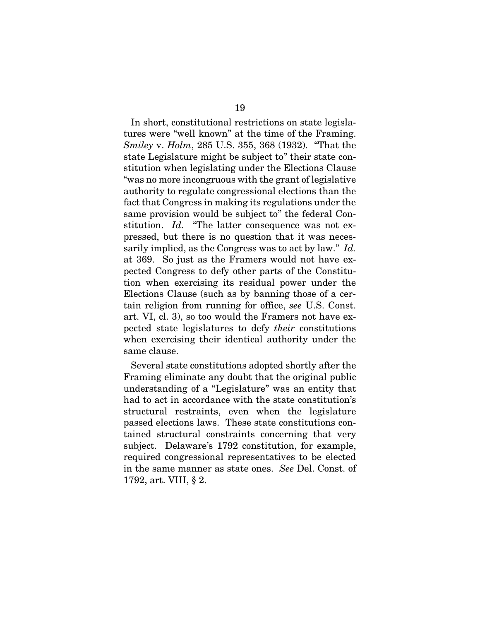In short, constitutional restrictions on state legislatures were "well known" at the time of the Framing. *Smiley* v. *Holm*, 285 U.S. 355, 368 (1932). "That the state Legislature might be subject to" their state constitution when legislating under the Elections Clause "was no more incongruous with the grant of legislative authority to regulate congressional elections than the fact that Congress in making its regulations under the same provision would be subject to" the federal Constitution. *Id.* "The latter consequence was not expressed, but there is no question that it was necessarily implied, as the Congress was to act by law." *Id.* at 369. So just as the Framers would not have expected Congress to defy other parts of the Constitution when exercising its residual power under the Elections Clause (such as by banning those of a certain religion from running for office, *see* U.S. Const. art. VI, cl. 3), so too would the Framers not have expected state legislatures to defy *their* constitutions when exercising their identical authority under the same clause.

<span id="page-31-1"></span><span id="page-31-0"></span>Several state constitutions adopted shortly after the Framing eliminate any doubt that the original public understanding of a "Legislature" was an entity that had to act in accordance with the state constitution's structural restraints, even when the legislature passed elections laws. These state constitutions contained structural constraints concerning that very subject. Delaware's 1792 constitution, for example, required congressional representatives to be elected in the same manner as state ones. *See* Del. Const. of 1792, art. VIII, § 2.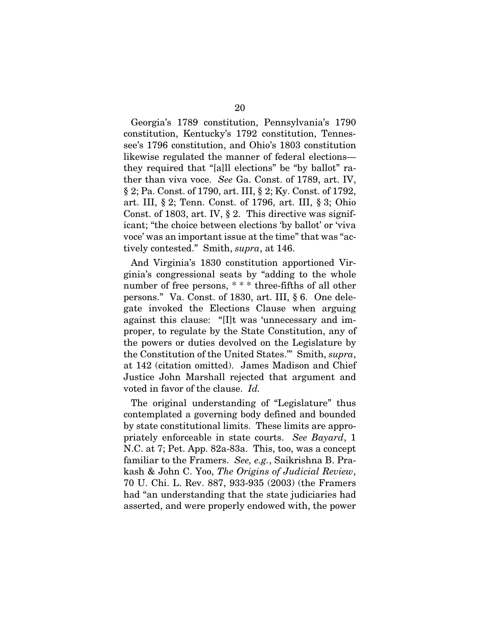<span id="page-32-4"></span><span id="page-32-2"></span><span id="page-32-1"></span>Georgia's 1789 constitution, Pennsylvania's 1790 constitution, Kentucky's 1792 constitution, Tennessee's 1796 constitution, and Ohio's 1803 constitution likewise regulated the manner of federal elections they required that "[a]ll elections" be "by ballot" rather than viva voce. *See* Ga. Const. of 1789, art. IV, § 2; Pa. Const. of 1790, art. III, § 2; Ky. Const. of 1792, art. III, § 2; Tenn. Const. of 1796, art. III, § 3; Ohio Const. of 1803, art. IV, § 2. This directive was significant; "the choice between elections 'by ballot' or 'viva voce' was an important issue at the time" that was "actively contested." Smith, *supra*, at 146.

<span id="page-32-6"></span><span id="page-32-5"></span><span id="page-32-3"></span>And Virginia's 1830 constitution apportioned Virginia's congressional seats by "adding to the whole number of free persons, \* \* \* three-fifths of all other persons." Va. Const. of 1830, art. III, § 6. One delegate invoked the Elections Clause when arguing against this clause: "[I]t was 'unnecessary and improper, to regulate by the State Constitution, any of the powers or duties devolved on the Legislature by the Constitution of the United States.'" Smith, *supra*, at 142 (citation omitted). James Madison and Chief Justice John Marshall rejected that argument and voted in favor of the clause. *Id.*

<span id="page-32-8"></span><span id="page-32-7"></span><span id="page-32-0"></span>The original understanding of "Legislature" thus contemplated a governing body defined and bounded by state constitutional limits. These limits are appropriately enforceable in state courts. *See Bayard*, 1 N.C. at 7; Pet. App. 82a-83a. This, too, was a concept familiar to the Framers. *See, e.g.*, Saikrishna B. Prakash & John C. Yoo, *The Origins of Judicial Review*, 70 U. Chi. L. Rev. 887, 933-935 (2003) (the Framers had "an understanding that the state judiciaries had asserted, and were properly endowed with, the power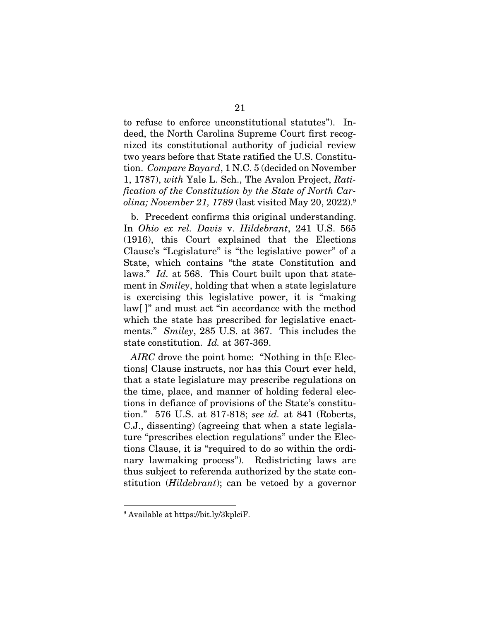<span id="page-33-1"></span>to refuse to enforce unconstitutional statutes"). Indeed, the North Carolina Supreme Court first recognized its constitutional authority of judicial review two years before that State ratified the U.S. Constitution. *Compare Bayard*, 1 N.C. 5 (decided on November 1, 1787), *with* Yale L. Sch., The Avalon Project, *Ratification of the Constitution by the State of North Carolina; November 21, 1789* (last visited May 20, 2022).<sup>9</sup>

<span id="page-33-4"></span><span id="page-33-3"></span><span id="page-33-2"></span>b. Precedent confirms this original understanding. In *Ohio ex rel. Davis* v. *Hildebrant*, 241 U.S. 565 (1916), this Court explained that the Elections Clause's "Legislature" is "the legislative power" of a State, which contains "the state Constitution and laws." *Id.* at 568. This Court built upon that statement in *Smiley*, holding that when a state legislature is exercising this legislative power, it is "making law[ ]" and must act "in accordance with the method which the state has prescribed for legislative enactments." *Smiley*, 285 U.S. at 367. This includes the state constitution. *Id.* at 367-369.

<span id="page-33-0"></span>*AIRC* drove the point home: "Nothing in th[e Elections] Clause instructs, nor has this Court ever held, that a state legislature may prescribe regulations on the time, place, and manner of holding federal elections in defiance of provisions of the State's constitution." 576 U.S. at 817-818; *see id.* at 841 (Roberts, C.J., dissenting) (agreeing that when a state legislature "prescribes election regulations" under the Elections Clause, it is "required to do so within the ordinary lawmaking process"). Redistricting laws are thus subject to referenda authorized by the state constitution (*Hildebrant*); can be vetoed by a governor

<sup>9</sup> Available at https://bit.ly/3kplciF.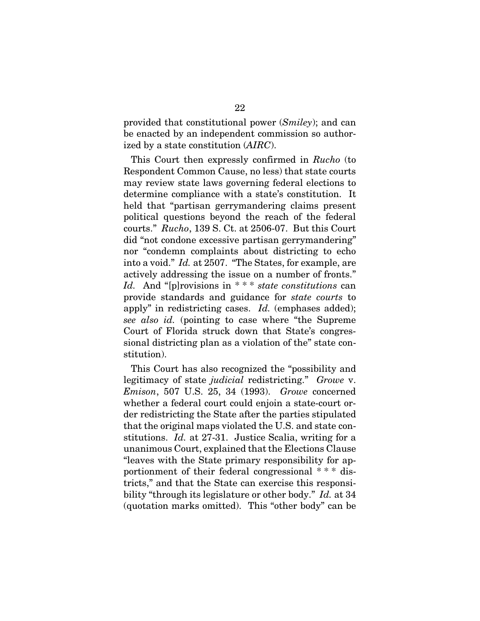provided that constitutional power (*Smiley*); and can be enacted by an independent commission so authorized by a state constitution (*AIRC*).

<span id="page-34-1"></span>This Court then expressly confirmed in *Rucho* (to Respondent Common Cause, no less) that state courts may review state laws governing federal elections to determine compliance with a state's constitution. It held that "partisan gerrymandering claims present political questions beyond the reach of the federal courts." *Rucho*, 139 S. Ct. at 2506-07. But this Court did "not condone excessive partisan gerrymandering" nor "condemn complaints about districting to echo into a void." *Id.* at 2507. "The States, for example, are actively addressing the issue on a number of fronts." *Id.* And "[p]rovisions in \* \* \* *state constitutions* can provide standards and guidance for *state courts* to apply" in redistricting cases. *Id.* (emphases added); *see also id.* (pointing to case where "the Supreme Court of Florida struck down that State's congressional districting plan as a violation of the" state constitution).

<span id="page-34-0"></span>This Court has also recognized the "possibility and legitimacy of state *judicial* redistricting." *Growe* v. *Emison*, 507 U.S. 25, 34 (1993). *Growe* concerned whether a federal court could enjoin a state-court order redistricting the State after the parties stipulated that the original maps violated the U.S. and state constitutions. *Id.* at 27-31. Justice Scalia, writing for a unanimous Court, explained that the Elections Clause "leaves with the State primary responsibility for apportionment of their federal congressional \* \* \* districts," and that the State can exercise this responsibility "through its legislature or other body." *Id.* at 34 (quotation marks omitted). This "other body" can be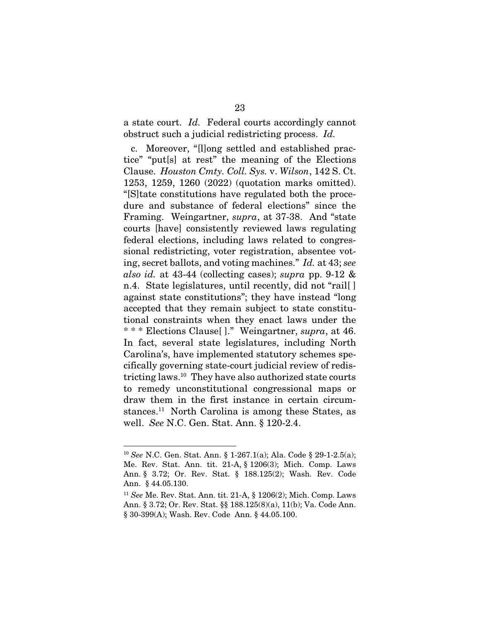a state court. *Id.* Federal courts accordingly cannot obstruct such a judicial redistricting process. *Id.*

<span id="page-35-12"></span><span id="page-35-0"></span>c. Moreover, "[l]ong settled and established practice" "put[s] at rest" the meaning of the Elections Clause. *Houston Cmty. Coll. Sys.* v. *Wilson*, 142 S. Ct. 1253, 1259, 1260 (2022) (quotation marks omitted). "[S]tate constitutions have regulated both the procedure and substance of federal elections" since the Framing. Weingartner, *supra*, at 37-38. And "state courts [have] consistently reviewed laws regulating federal elections, including laws related to congressional redistricting, voter registration, absentee voting, secret ballots, and voting machines." *Id.* at 43; *see also id.* at 43-44 (collecting cases); *supra* pp. 9-12 & n.4. State legislatures, until recently, did not "rail[ ] against state constitutions"; they have instead "long accepted that they remain subject to state constitutional constraints when they enact laws under the \* \* \* Elections Clause[ ]." Weingartner, *supra*, at 46. In fact, several state legislatures, including North Carolina's, have implemented statutory schemes specifically governing state-court judicial review of redistricting laws.<sup>10</sup> They have also authorized state courts to remedy unconstitutional congressional maps or draw them in the first instance in certain circumstances.<sup>11</sup> North Carolina is among these States, as well. *See* N.C. Gen. Stat. Ann. § 120-2.4.

<span id="page-35-11"></span><span id="page-35-8"></span><span id="page-35-6"></span><span id="page-35-5"></span><span id="page-35-4"></span><span id="page-35-3"></span><span id="page-35-2"></span><sup>10</sup> *See* N.C. Gen. Stat. Ann. § 1-267.1(a); Ala. Code § 29-1-2.5(a); Me. Rev. Stat. Ann. tit. 21-A, § 1206(3); Mich. Comp. Laws Ann. § 3.72; Or. Rev. Stat. § 188.125(2); Wash. Rev. Code Ann. § 44.05.130.

<span id="page-35-10"></span><span id="page-35-9"></span><span id="page-35-7"></span><span id="page-35-1"></span><sup>11</sup> *See* Me. Rev. Stat. Ann. tit. 21-A, § 1206(2); Mich. Comp. Laws Ann. § 3.72; Or. Rev. Stat. §§ 188.125(8)(a), 11(b); Va. Code Ann. § 30-399(A); Wash. Rev. Code Ann. § 44.05.100.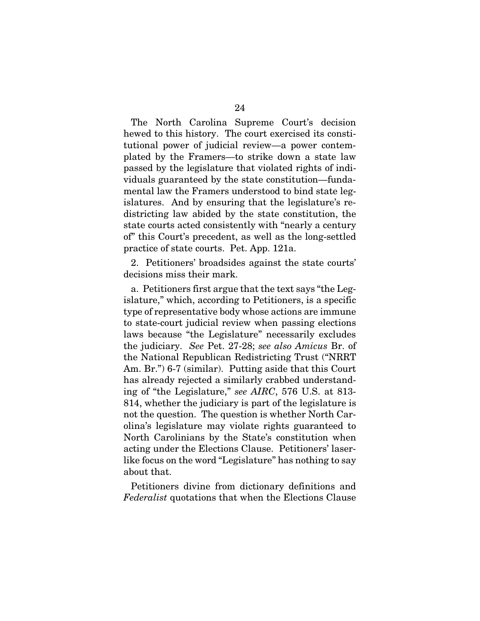The North Carolina Supreme Court's decision hewed to this history. The court exercised its constitutional power of judicial review—a power contemplated by the Framers—to strike down a state law passed by the legislature that violated rights of individuals guaranteed by the state constitution—fundamental law the Framers understood to bind state legislatures. And by ensuring that the legislature's redistricting law abided by the state constitution, the state courts acted consistently with "nearly a century of" this Court's precedent, as well as the long-settled practice of state courts. Pet. App. 121a.

2. Petitioners' broadsides against the state courts' decisions miss their mark.

a. Petitioners first argue that the text says "the Legislature," which, according to Petitioners, is a specific type of representative body whose actions are immune to state-court judicial review when passing elections laws because "the Legislature" necessarily excludes the judiciary. *See* Pet. 27-28; *see also Amicus* Br. of the National Republican Redistricting Trust ("NRRT Am. Br.") 6-7 (similar). Putting aside that this Court has already rejected a similarly crabbed understanding of "the Legislature," *see AIRC*, 576 U.S. at 813- 814, whether the judiciary is part of the legislature is not the question. The question is whether North Carolina's legislature may violate rights guaranteed to North Carolinians by the State's constitution when acting under the Elections Clause. Petitioners' laserlike focus on the word "Legislature" has nothing to say about that.

<span id="page-36-0"></span>Petitioners divine from dictionary definitions and *Federalist* quotations that when the Elections Clause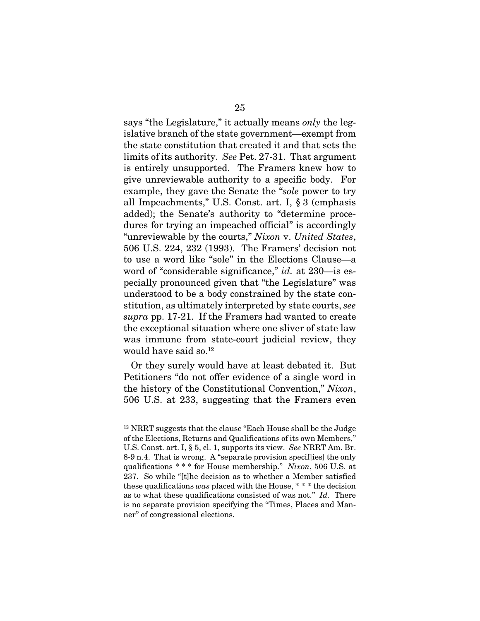<span id="page-37-1"></span><span id="page-37-0"></span>says "the Legislature," it actually means *only* the legislative branch of the state government—exempt from the state constitution that created it and that sets the limits of its authority. *See* Pet. 27-31. That argument is entirely unsupported. The Framers knew how to give unreviewable authority to a specific body. For example, they gave the Senate the "*sole* power to try all Impeachments," U.S. Const. art. I, § 3 (emphasis added); the Senate's authority to "determine procedures for trying an impeached official" is accordingly "unreviewable by the courts," *Nixon* v. *United States*, 506 U.S. 224, 232 (1993). The Framers' decision not to use a word like "sole" in the Elections Clause—a word of "considerable significance," *id.* at 230—is especially pronounced given that "the Legislature" was understood to be a body constrained by the state constitution, as ultimately interpreted by state courts, *see supra* pp. 17-21. If the Framers had wanted to create the exceptional situation where one sliver of state law was immune from state-court judicial review, they would have said so.<sup>12</sup>

Or they surely would have at least debated it. But Petitioners "do not offer evidence of a single word in the history of the Constitutional Convention," *Nixon*, 506 U.S. at 233, suggesting that the Framers even

<span id="page-37-2"></span><sup>&</sup>lt;sup>12</sup> NRRT suggests that the clause "Each House shall be the Judge" of the Elections, Returns and Qualifications of its own Members," U.S. Const. art. I, § 5, cl. 1, supports its view. *See* NRRT Am. Br. 8-9 n.4. That is wrong. A "separate provision specif[ies] the only qualifications \* \* \* for House membership." *Nixon*, 506 U.S. at 237. So while "[t]he decision as to whether a Member satisfied these qualifications *was* placed with the House, \* \* \* the decision as to what these qualifications consisted of was not." *Id.* There is no separate provision specifying the "Times, Places and Manner" of congressional elections.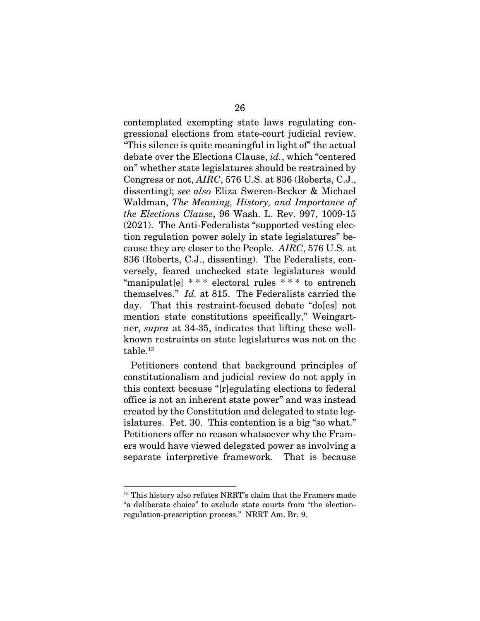<span id="page-38-1"></span><span id="page-38-0"></span>contemplated exempting state laws regulating congressional elections from state-court judicial review. "This silence is quite meaningful in light of" the actual debate over the Elections Clause, *id.*, which "centered on" whether state legislatures should be restrained by Congress or not, *AIRC*, 576 U.S. at 836 (Roberts, C.J., dissenting); *see also* Eliza Sweren-Becker & Michael Waldman, *The Meaning, History, and Importance of the Elections Clause*, 96 Wash. L. Rev. 997, 1009-15 (2021). The Anti-Federalists "supported vesting election regulation power solely in state legislatures" because they are closer to the People. *AIRC*, 576 U.S. at 836 (Roberts, C.J., dissenting). The Federalists, conversely, feared unchecked state legislatures would "manipulat[e] \* \* \* electoral rules \* \* \* to entrench themselves." *Id.* at 815. The Federalists carried the day. That this restraint-focused debate "do[es] not mention state constitutions specifically," Weingartner, *supra* at 34-35, indicates that lifting these wellknown restraints on state legislatures was not on the table.<sup>13</sup>

<span id="page-38-2"></span>Petitioners contend that background principles of constitutionalism and judicial review do not apply in this context because "[r]egulating elections to federal office is not an inherent state power" and was instead created by the Constitution and delegated to state legislatures. Pet. 30. This contention is a big "so what." Petitioners offer no reason whatsoever why the Framers would have viewed delegated power as involving a separate interpretive framework. That is because

<sup>&</sup>lt;sup>13</sup> This history also refutes NRRT's claim that the Framers made "a deliberate choice" to exclude state courts from "the electionregulation-prescription process." NRRT Am. Br. 9.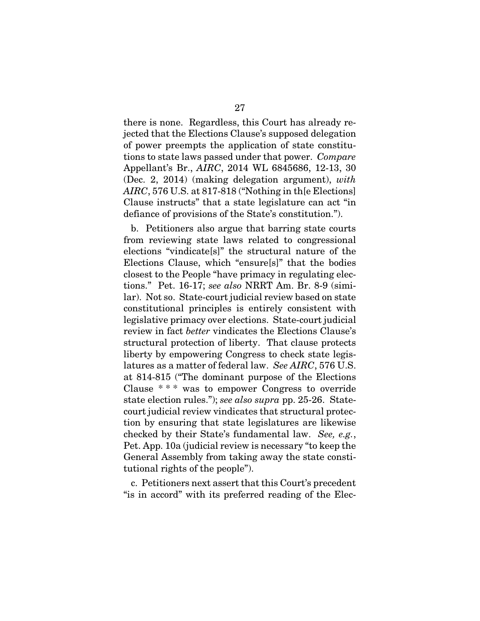there is none. Regardless, this Court has already rejected that the Elections Clause's supposed delegation of power preempts the application of state constitutions to state laws passed under that power. *Compare* Appellant's Br., *AIRC*, 2014 WL 6845686, 12-13, 30 (Dec. 2, 2014) (making delegation argument), *with AIRC*, 576 U.S. at 817-818 ("Nothing in th[e Elections] Clause instructs" that a state legislature can act "in defiance of provisions of the State's constitution.").

<span id="page-39-0"></span>b. Petitioners also argue that barring state courts from reviewing state laws related to congressional elections "vindicate[s]" the structural nature of the Elections Clause, which "ensure[s]" that the bodies closest to the People "have primacy in regulating elections." Pet. 16-17; *see also* NRRT Am. Br. 8-9 (similar). Not so. State-court judicial review based on state constitutional principles is entirely consistent with legislative primacy over elections. State-court judicial review in fact *better* vindicates the Elections Clause's structural protection of liberty. That clause protects liberty by empowering Congress to check state legislatures as a matter of federal law. *See AIRC*, 576 U.S. at 814-815 ("The dominant purpose of the Elections Clause \* \* \* was to empower Congress to override state election rules."); *see also supra* pp. 25-26. Statecourt judicial review vindicates that structural protection by ensuring that state legislatures are likewise checked by their State's fundamental law. *See, e.g.*, Pet. App. 10a (judicial review is necessary "to keep the General Assembly from taking away the state constitutional rights of the people").

c. Petitioners next assert that this Court's precedent "is in accord" with its preferred reading of the Elec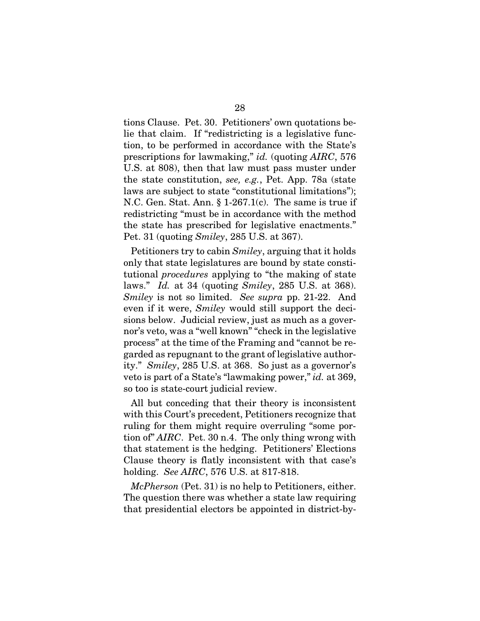<span id="page-40-0"></span>tions Clause. Pet. 30. Petitioners' own quotations belie that claim. If "redistricting is a legislative function, to be performed in accordance with the State's prescriptions for lawmaking," *id.* (quoting *AIRC*, 576 U.S. at 808), then that law must pass muster under the state constitution, *see, e.g.*, Pet. App. 78a (state laws are subject to state "constitutional limitations"); N.C. Gen. Stat. Ann. § 1-267.1(c). The same is true if redistricting "must be in accordance with the method the state has prescribed for legislative enactments." Pet. 31 (quoting *Smiley*, 285 U.S. at 367).

<span id="page-40-2"></span><span id="page-40-1"></span>Petitioners try to cabin *Smiley*, arguing that it holds only that state legislatures are bound by state constitutional *procedures* applying to "the making of state laws." *Id.* at 34 (quoting *Smiley*, 285 U.S. at 368). *Smiley* is not so limited. *See supra* pp. 21-22. And even if it were, *Smiley* would still support the decisions below. Judicial review, just as much as a governor's veto, was a "well known" "check in the legislative process" at the time of the Framing and "cannot be regarded as repugnant to the grant of legislative authority." *Smiley*, 285 U.S. at 368. So just as a governor's veto is part of a State's "lawmaking power," *id.* at 369, so too is state-court judicial review.

All but conceding that their theory is inconsistent with this Court's precedent, Petitioners recognize that ruling for them might require overruling "some portion of" *AIRC*. Pet. 30 n.4. The only thing wrong with that statement is the hedging. Petitioners' Elections Clause theory is flatly inconsistent with that case's holding. *See AIRC*, 576 U.S. at 817-818.

*McPherson* (Pet. 31) is no help to Petitioners, either. The question there was whether a state law requiring that presidential electors be appointed in district-by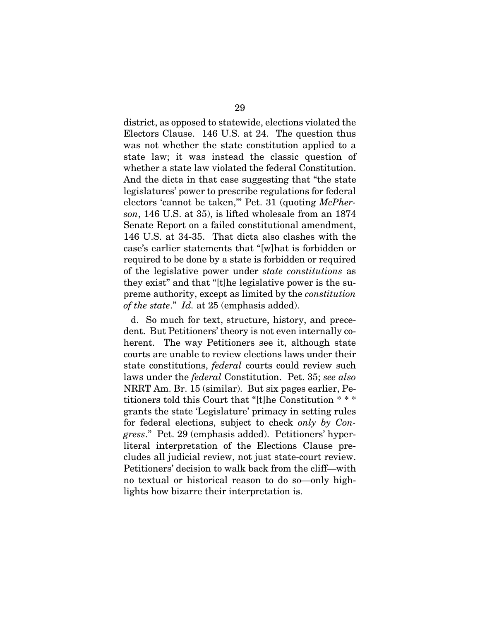<span id="page-41-0"></span>district, as opposed to statewide, elections violated the Electors Clause. 146 U.S. at 24. The question thus was not whether the state constitution applied to a state law; it was instead the classic question of whether a state law violated the federal Constitution. And the dicta in that case suggesting that "the state legislatures' power to prescribe regulations for federal electors 'cannot be taken,'" Pet. 31 (quoting *McPherson*, 146 U.S. at 35), is lifted wholesale from an 1874 Senate Report on a failed constitutional amendment, 146 U.S. at 34-35. That dicta also clashes with the case's earlier statements that "[w]hat is forbidden or required to be done by a state is forbidden or required of the legislative power under *state constitutions* as they exist" and that "[t]he legislative power is the supreme authority, except as limited by the *constitution of the state*." *Id.* at 25 (emphasis added).

d. So much for text, structure, history, and precedent. But Petitioners' theory is not even internally coherent. The way Petitioners see it, although state courts are unable to review elections laws under their state constitutions, *federal* courts could review such laws under the *federal* Constitution. Pet. 35; *see also* NRRT Am. Br. 15 (similar). But six pages earlier, Petitioners told this Court that "[t]he Constitution \* \* \* grants the state 'Legislature' primacy in setting rules for federal elections, subject to check *only by Congress*." Pet. 29 (emphasis added). Petitioners' hyperliteral interpretation of the Elections Clause precludes all judicial review, not just state-court review. Petitioners' decision to walk back from the cliff—with no textual or historical reason to do so—only highlights how bizarre their interpretation is.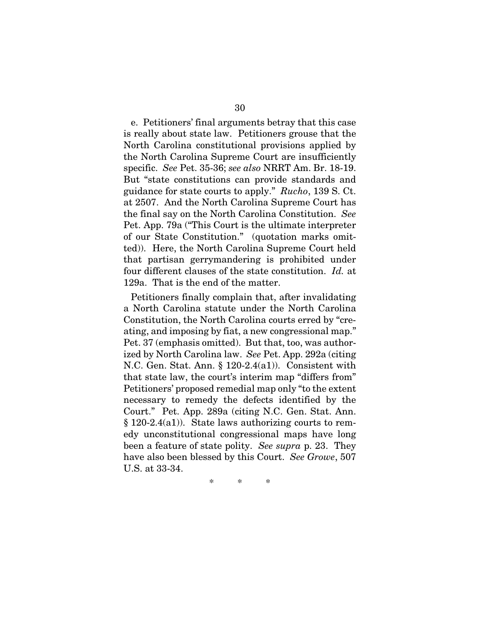<span id="page-42-1"></span>e. Petitioners' final arguments betray that this case is really about state law. Petitioners grouse that the North Carolina constitutional provisions applied by the North Carolina Supreme Court are insufficiently specific. *See* Pet. 35-36; *see also* NRRT Am. Br. 18-19. But "state constitutions can provide standards and guidance for state courts to apply." *Rucho*, 139 S. Ct. at 2507. And the North Carolina Supreme Court has the final say on the North Carolina Constitution. *See* Pet. App. 79a ("This Court is the ultimate interpreter of our State Constitution." (quotation marks omitted)). Here, the North Carolina Supreme Court held that partisan gerrymandering is prohibited under four different clauses of the state constitution. *Id.* at 129a. That is the end of the matter.

<span id="page-42-2"></span>Petitioners finally complain that, after invalidating a North Carolina statute under the North Carolina Constitution, the North Carolina courts erred by "creating, and imposing by fiat, a new congressional map." Pet. 37 (emphasis omitted). But that, too, was authorized by North Carolina law. *See* Pet. App. 292a (citing N.C. Gen. Stat. Ann. § 120-2.4(a1)). Consistent with that state law, the court's interim map "differs from" Petitioners' proposed remedial map only "to the extent necessary to remedy the defects identified by the Court." Pet. App. 289a (citing N.C. Gen. Stat. Ann. § 120-2.4(a1)). State laws authorizing courts to remedy unconstitutional congressional maps have long been a feature of state polity. *See supra* p. 23. They have also been blessed by this Court. *See Growe*, 507 U.S. at 33-34.

<span id="page-42-0"></span>\* \* \*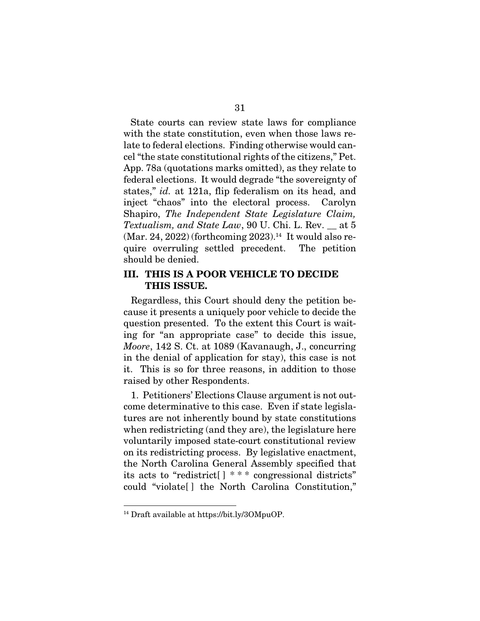State courts can review state laws for compliance with the state constitution, even when those laws relate to federal elections. Finding otherwise would cancel "the state constitutional rights of the citizens," Pet. App. 78a (quotations marks omitted), as they relate to federal elections. It would degrade "the sovereignty of states," *id.* at 121a, flip federalism on its head, and inject "chaos" into the electoral process. Carolyn Shapiro, *The Independent State Legislature Claim, Textualism, and State Law*, 90 U. Chi. L. Rev. \_\_ at 5  $(Mar. 24, 2022)$  (forthcoming 2023).<sup>14</sup> It would also require overruling settled precedent. The petition should be denied.

#### <span id="page-43-1"></span>III. THIS IS A POOR VEHICLE TO DECIDE THIS ISSUE.

<span id="page-43-0"></span>Regardless, this Court should deny the petition because it presents a uniquely poor vehicle to decide the question presented. To the extent this Court is waiting for "an appropriate case" to decide this issue, *Moore*, 142 S. Ct. at 1089 (Kavanaugh, J., concurring in the denial of application for stay), this case is not it. This is so for three reasons, in addition to those raised by other Respondents.

1. Petitioners' Elections Clause argument is not outcome determinative to this case. Even if state legislatures are not inherently bound by state constitutions when redistricting (and they are), the legislature here voluntarily imposed state-court constitutional review on its redistricting process. By legislative enactment, the North Carolina General Assembly specified that its acts to "redistrict[ ] \* \* \* congressional districts" could "violate[ ] the North Carolina Constitution,"

<sup>14</sup> Draft available at https://bit.ly/3OMpuOP.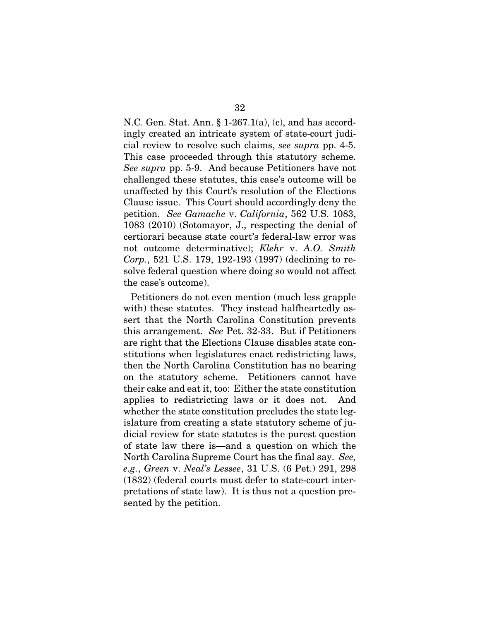<span id="page-44-4"></span><span id="page-44-3"></span>N.C. Gen. Stat. Ann. § 1-267.1(a), (c), and has accordingly created an intricate system of state-court judicial review to resolve such claims, *see supra* pp. 4-5. This case proceeded through this statutory scheme. *See supra* pp. 5-9. And because Petitioners have not challenged these statutes, this case's outcome will be unaffected by this Court's resolution of the Elections Clause issue. This Court should accordingly deny the petition. *See Gamache* v. *California*, 562 U.S. 1083, 1083 (2010) (Sotomayor, J., respecting the denial of certiorari because state court's federal-law error was not outcome determinative); *Klehr* v. *A.O. Smith Corp.*, 521 U.S. 179, 192-193 (1997) (declining to resolve federal question where doing so would not affect the case's outcome).

<span id="page-44-2"></span><span id="page-44-1"></span><span id="page-44-0"></span>Petitioners do not even mention (much less grapple with) these statutes. They instead halfheartedly assert that the North Carolina Constitution prevents this arrangement. *See* Pet. 32-33. But if Petitioners are right that the Elections Clause disables state constitutions when legislatures enact redistricting laws, then the North Carolina Constitution has no bearing on the statutory scheme. Petitioners cannot have their cake and eat it, too: Either the state constitution applies to redistricting laws or it does not. And whether the state constitution precludes the state legislature from creating a state statutory scheme of judicial review for state statutes is the purest question of state law there is—and a question on which the North Carolina Supreme Court has the final say. *See, e.g.*, *Green* v. *Neal's Lessee*, 31 U.S. (6 Pet.) 291, 298 (1832) (federal courts must defer to state-court interpretations of state law). It is thus not a question presented by the petition.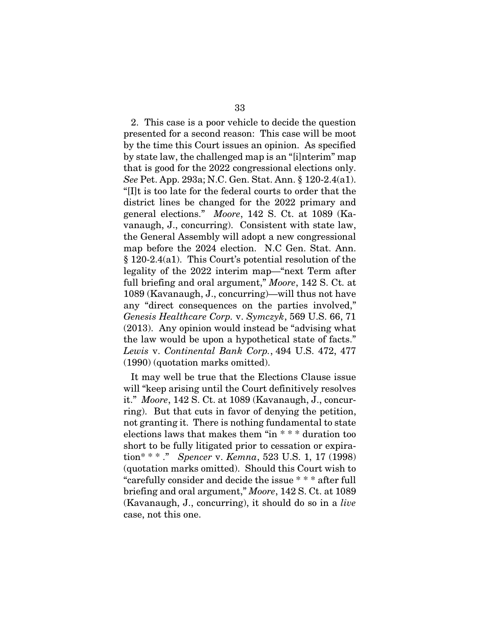<span id="page-45-2"></span>2. This case is a poor vehicle to decide the question presented for a second reason: This case will be moot by the time this Court issues an opinion. As specified by state law, the challenged map is an "[i]nterim" map that is good for the 2022 congressional elections only. *See* Pet. App. 293a; N.C. Gen. Stat. Ann. § 120-2.4(a1). "[I]t is too late for the federal courts to order that the district lines be changed for the 2022 primary and general elections." *Moore*, 142 S. Ct. at 1089 (Kavanaugh, J., concurring). Consistent with state law, the General Assembly will adopt a new congressional map before the 2024 election. N.C Gen. Stat. Ann. § 120-2.4(a1). This Court's potential resolution of the legality of the 2022 interim map—"next Term after full briefing and oral argument," *Moore*, 142 S. Ct. at 1089 (Kavanaugh, J., concurring)—will thus not have any "direct consequences on the parties involved," *Genesis Healthcare Corp.* v. *Symczyk*, 569 U.S. 66, 71 (2013). Any opinion would instead be "advising what the law would be upon a hypothetical state of facts." *Lewis* v. *Continental Bank Corp.*, 494 U.S. 472, 477 (1990) (quotation marks omitted).

<span id="page-45-3"></span><span id="page-45-1"></span><span id="page-45-0"></span>It may well be true that the Elections Clause issue will "keep arising until the Court definitively resolves it." *Moore*, 142 S. Ct. at 1089 (Kavanaugh, J., concurring). But that cuts in favor of denying the petition, not granting it. There is nothing fundamental to state elections laws that makes them "in \* \* \* duration too short to be fully litigated prior to cessation or expiration\* \* \* ." *Spencer* v. *Kemna*, 523 U.S. 1, 17 (1998) (quotation marks omitted). Should this Court wish to "carefully consider and decide the issue \* \* \* after full briefing and oral argument," *Moore*, 142 S. Ct. at 1089 (Kavanaugh, J., concurring), it should do so in a *live* case, not this one.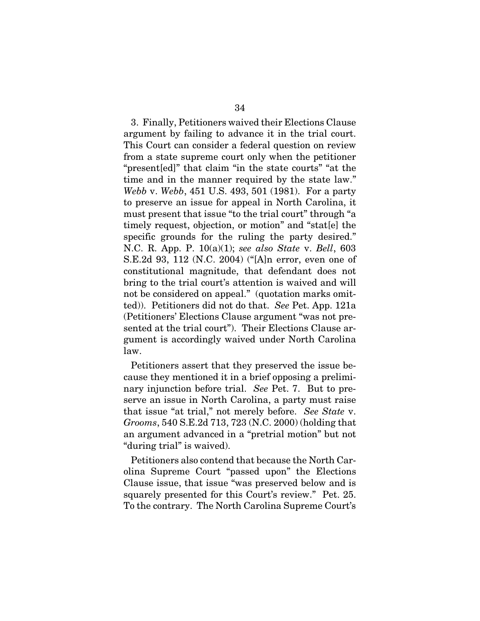<span id="page-46-2"></span>3. Finally, Petitioners waived their Elections Clause argument by failing to advance it in the trial court. This Court can consider a federal question on review from a state supreme court only when the petitioner "present[ed]" that claim "in the state courts" "at the time and in the manner required by the state law." *Webb* v. *Webb*, 451 U.S. 493, 501 (1981). For a party to preserve an issue for appeal in North Carolina, it must present that issue "to the trial court" through "a timely request, objection, or motion" and "stat[e] the specific grounds for the ruling the party desired." N.C. R. App. P. 10(a)(1); *see also State* v. *Bell*, 603 S.E.2d 93, 112 (N.C. 2004) ("[A]n error, even one of constitutional magnitude, that defendant does not bring to the trial court's attention is waived and will not be considered on appeal." (quotation marks omitted)). Petitioners did not do that. *See* Pet. App. 121a (Petitioners' Elections Clause argument "was not presented at the trial court"). Their Elections Clause argument is accordingly waived under North Carolina law.

<span id="page-46-3"></span><span id="page-46-1"></span><span id="page-46-0"></span>Petitioners assert that they preserved the issue because they mentioned it in a brief opposing a preliminary injunction before trial. *See* Pet. 7. But to preserve an issue in North Carolina, a party must raise that issue "at trial," not merely before. *See State* v. *Grooms*, 540 S.E.2d 713, 723 (N.C. 2000) (holding that an argument advanced in a "pretrial motion" but not "during trial" is waived).

Petitioners also contend that because the North Carolina Supreme Court "passed upon" the Elections Clause issue, that issue "was preserved below and is squarely presented for this Court's review." Pet. 25. To the contrary. The North Carolina Supreme Court's